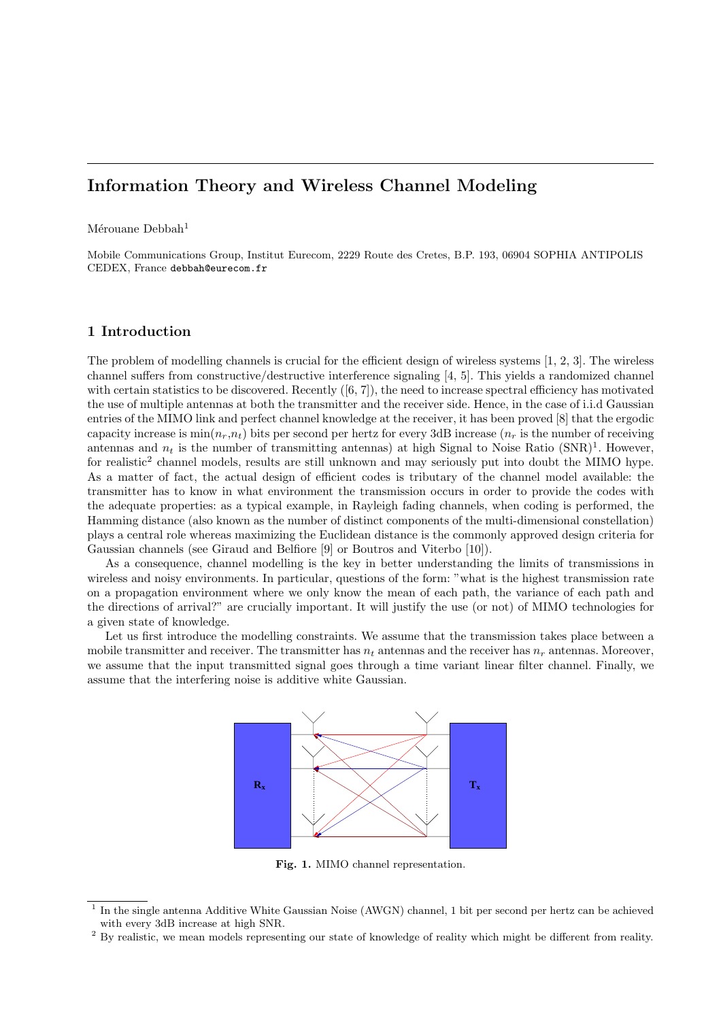# Information Theory and Wireless Channel Modeling

Mérouane Debbah<sup>1</sup>

Mobile Communications Group, Institut Eurecom, 2229 Route des Cretes, B.P. 193, 06904 SOPHIA ANTIPOLIS CEDEX, France debbah@eurecom.fr

## 1 Introduction

The problem of modelling channels is crucial for the efficient design of wireless systems [1, 2, 3]. The wireless channel suffers from constructive/destructive interference signaling [4, 5]. This yields a randomized channel with certain statistics to be discovered. Recently  $([6, 7])$ , the need to increase spectral efficiency has motivated the use of multiple antennas at both the transmitter and the receiver side. Hence, in the case of i.i.d Gaussian entries of the MIMO link and perfect channel knowledge at the receiver, it has been proved [8] that the ergodic capacity increase is  $\min(n_r, n_t)$  bits per second per hertz for every 3dB increase  $(n_r$  is the number of receiving antennas and  $n_t$  is the number of transmitting antennas) at high Signal to Noise Ratio  $(SNR)^1$ . However, for realistic<sup>2</sup> channel models, results are still unknown and may seriously put into doubt the MIMO hype. As a matter of fact, the actual design of efficient codes is tributary of the channel model available: the transmitter has to know in what environment the transmission occurs in order to provide the codes with the adequate properties: as a typical example, in Rayleigh fading channels, when coding is performed, the Hamming distance (also known as the number of distinct components of the multi-dimensional constellation) plays a central role whereas maximizing the Euclidean distance is the commonly approved design criteria for Gaussian channels (see Giraud and Belfiore [9] or Boutros and Viterbo [10]).

As a consequence, channel modelling is the key in better understanding the limits of transmissions in wireless and noisy environments. In particular, questions of the form: "what is the highest transmission rate on a propagation environment where we only know the mean of each path, the variance of each path and the directions of arrival?" are crucially important. It will justify the use (or not) of MIMO technologies for a given state of knowledge.

Let us first introduce the modelling constraints. We assume that the transmission takes place between a mobile transmitter and receiver. The transmitter has  $n_t$  antennas and the receiver has  $n_r$  antennas. Moreover, we assume that the input transmitted signal goes through a time variant linear filter channel. Finally, we assume that the interfering noise is additive white Gaussian.



Fig. 1. MIMO channel representation.

<sup>1</sup> In the single antenna Additive White Gaussian Noise (AWGN) channel, 1 bit per second per hertz can be achieved with every 3dB increase at high SNR.

<sup>&</sup>lt;sup>2</sup> By realistic, we mean models representing our state of knowledge of reality which might be different from reality.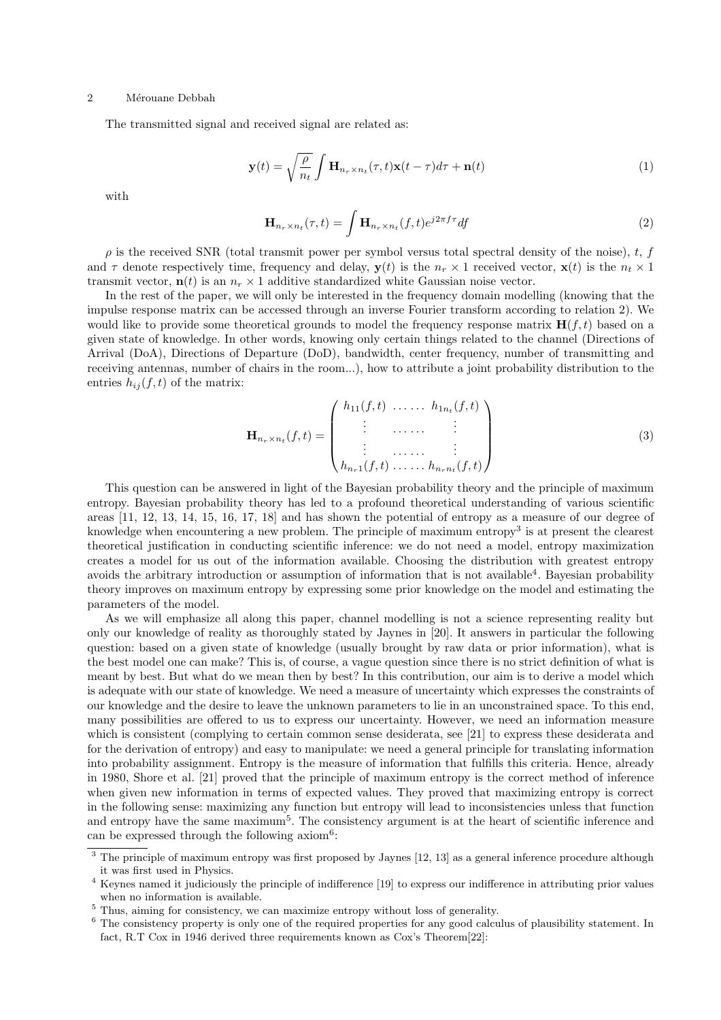The transmitted signal and received signal are related as:

$$
\mathbf{y}(t) = \sqrt{\frac{\rho}{n_t}} \int \mathbf{H}_{n_r \times n_t}(\tau, t) \mathbf{x}(t - \tau) d\tau + \mathbf{n}(t)
$$
\n(1)

with

$$
\mathbf{H}_{n_r \times n_t}(\tau, t) = \int \mathbf{H}_{n_r \times n_t}(f, t) e^{j2\pi f \tau} df
$$
\n(2)

 $\rho$  is the received SNR (total transmit power per symbol versus total spectral density of the noise), t, f and  $\tau$  denote respectively time, frequency and delay,  $y(t)$  is the  $n_r \times 1$  received vector,  $x(t)$  is the  $n_t \times 1$ transmit vector,  $\mathbf{n}(t)$  is an  $n_r \times 1$  additive standardized white Gaussian noise vector.

In the rest of the paper, we will only be interested in the frequency domain modelling (knowing that the impulse response matrix can be accessed through an inverse Fourier transform according to relation 2). We would like to provide some theoretical grounds to model the frequency response matrix  $\mathbf{H}(f, t)$  based on a given state of knowledge. In other words, knowing only certain things related to the channel (Directions of Arrival (DoA), Directions of Departure (DoD), bandwidth, center frequency, number of transmitting and receiving antennas, number of chairs in the room...), how to attribute a joint probability distribution to the entries  $h_{ij}(f, t)$  of the matrix:

$$
\mathbf{H}_{n_r \times n_t}(f, t) = \begin{pmatrix} h_{11}(f, t) & \dots & h_{1n_t}(f, t) \\ \vdots & \dots & \vdots \\ \vdots & \dots & \vdots \\ h_{n_r1}(f, t) & \dots & h_{n_rn_t}(f, t) \end{pmatrix}
$$
(3)

This question can be answered in light of the Bayesian probability theory and the principle of maximum entropy. Bayesian probability theory has led to a profound theoretical understanding of various scientific areas [11, 12, 13, 14, 15, 16, 17, 18] and has shown the potential of entropy as a measure of our degree of knowledge when encountering a new problem. The principle of maximum entropy<sup>3</sup> is at present the clearest theoretical justification in conducting scientific inference: we do not need a model, entropy maximization creates a model for us out of the information available. Choosing the distribution with greatest entropy avoids the arbitrary introduction or assumption of information that is not available<sup>4</sup>. Bayesian probability theory improves on maximum entropy by expressing some prior knowledge on the model and estimating the parameters of the model.

As we will emphasize all along this paper, channel modelling is not a science representing reality but only our knowledge of reality as thoroughly stated by Jaynes in [20]. It answers in particular the following question: based on a given state of knowledge (usually brought by raw data or prior information), what is the best model one can make? This is, of course, a vague question since there is no strict definition of what is meant by best. But what do we mean then by best? In this contribution, our aim is to derive a model which is adequate with our state of knowledge. We need a measure of uncertainty which expresses the constraints of our knowledge and the desire to leave the unknown parameters to lie in an unconstrained space. To this end, many possibilities are offered to us to express our uncertainty. However, we need an information measure which is consistent (complying to certain common sense desiderata, see [21] to express these desiderata and for the derivation of entropy) and easy to manipulate: we need a general principle for translating information into probability assignment. Entropy is the measure of information that fulfills this criteria. Hence, already in 1980, Shore et al. [21] proved that the principle of maximum entropy is the correct method of inference when given new information in terms of expected values. They proved that maximizing entropy is correct in the following sense: maximizing any function but entropy will lead to inconsistencies unless that function and entropy have the same maximum<sup>5</sup>. The consistency argument is at the heart of scientific inference and can be expressed through the following  $axiom<sup>6</sup>$ :

 $3$  The principle of maximum entropy was first proposed by Jaynes [12, 13] as a general inference procedure although it was first used in Physics.

<sup>4</sup> Keynes named it judiciously the principle of indifference [19] to express our indifference in attributing prior values when no information is available.

 $^5$  Thus, aiming for consistency, we can maximize entropy without loss of generality.

 $6$  The consistency property is only one of the required properties for any good calculus of plausibility statement. In fact, R.T Cox in 1946 derived three requirements known as Cox's Theorem[22]: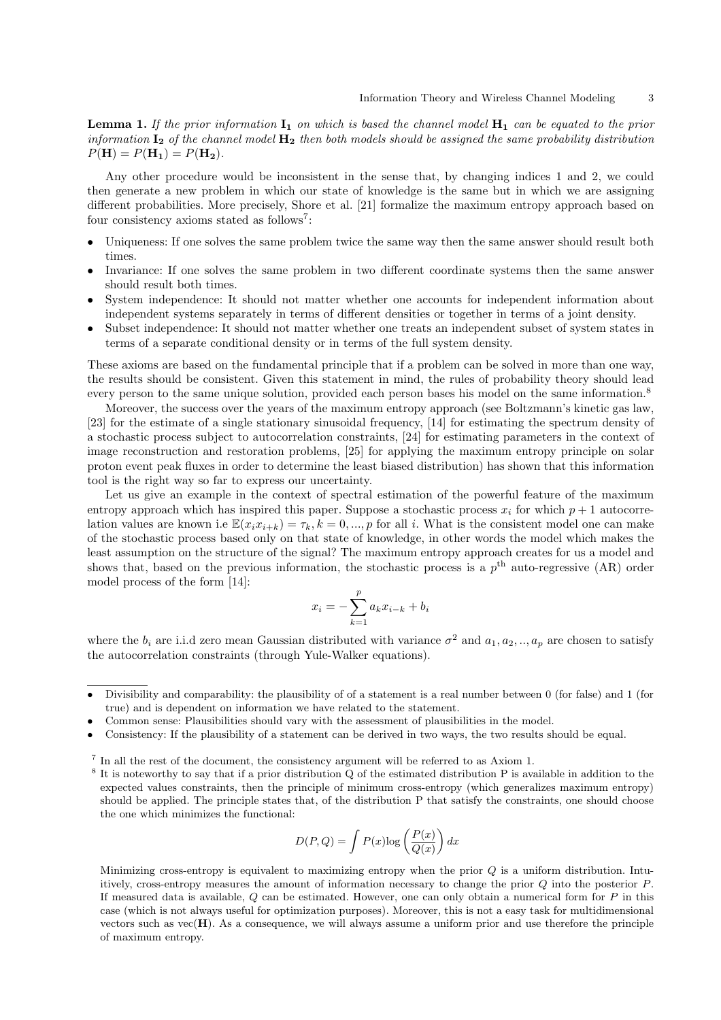**Lemma 1.** If the prior information  $I_1$  on which is based the channel model  $H_1$  can be equated to the prior information  $I_2$  of the channel model  $H_2$  then both models should be assigned the same probability distribution  $P(H) = P(H_1) = P(H_2)$ .

Any other procedure would be inconsistent in the sense that, by changing indices 1 and 2, we could then generate a new problem in which our state of knowledge is the same but in which we are assigning different probabilities. More precisely, Shore et al. [21] formalize the maximum entropy approach based on four consistency axioms stated as follows<sup>7</sup>:

- Uniqueness: If one solves the same problem twice the same way then the same answer should result both times.
- Invariance: If one solves the same problem in two different coordinate systems then the same answer should result both times.
- System independence: It should not matter whether one accounts for independent information about independent systems separately in terms of different densities or together in terms of a joint density.
- Subset independence: It should not matter whether one treats an independent subset of system states in terms of a separate conditional density or in terms of the full system density.

These axioms are based on the fundamental principle that if a problem can be solved in more than one way, the results should be consistent. Given this statement in mind, the rules of probability theory should lead every person to the same unique solution, provided each person bases his model on the same information.<sup>8</sup>

Moreover, the success over the years of the maximum entropy approach (see Boltzmann's kinetic gas law, [23] for the estimate of a single stationary sinusoidal frequency, [14] for estimating the spectrum density of a stochastic process subject to autocorrelation constraints, [24] for estimating parameters in the context of image reconstruction and restoration problems, [25] for applying the maximum entropy principle on solar proton event peak fluxes in order to determine the least biased distribution) has shown that this information tool is the right way so far to express our uncertainty.

Let us give an example in the context of spectral estimation of the powerful feature of the maximum entropy approach which has inspired this paper. Suppose a stochastic process  $x_i$  for which  $p + 1$  autocorrelation values are known i.e  $\mathbb{E}(x_ix_{i+k}) = \tau_k$ ,  $k = 0, ..., p$  for all i. What is the consistent model one can make of the stochastic process based only on that state of knowledge, in other words the model which makes the least assumption on the structure of the signal? The maximum entropy approach creates for us a model and shows that, based on the previous information, the stochastic process is a  $p<sup>th</sup>$  auto-regressive (AR) order model process of the form [14]:

$$
x_i = -\sum_{k=1}^p a_k x_{i-k} + b_i
$$

where the  $b_i$  are i.i.d zero mean Gaussian distributed with variance  $\sigma^2$  and  $a_1, a_2, ..., a_p$  are chosen to satisfy the autocorrelation constraints (through Yule-Walker equations).

$$
D(P,Q) = \int P(x) \log \left(\frac{P(x)}{Q(x)}\right) dx
$$

Minimizing cross-entropy is equivalent to maximizing entropy when the prior  $Q$  is a uniform distribution. Intuitively, cross-entropy measures the amount of information necessary to change the prior Q into the posterior P. If measured data is available,  $Q$  can be estimated. However, one can only obtain a numerical form for  $P$  in this case (which is not always useful for optimization purposes). Moreover, this is not a easy task for multidimensional vectors such as  $vec(\mathbf{H})$ . As a consequence, we will always assume a uniform prior and use therefore the principle of maximum entropy.

<sup>•</sup> Divisibility and comparability: the plausibility of of a statement is a real number between 0 (for false) and 1 (for true) and is dependent on information we have related to the statement.

<sup>•</sup> Common sense: Plausibilities should vary with the assessment of plausibilities in the model.

<sup>•</sup> Consistency: If the plausibility of a statement can be derived in two ways, the two results should be equal.

<sup>&</sup>lt;sup>7</sup> In all the rest of the document, the consistency argument will be referred to as Axiom 1.

<sup>&</sup>lt;sup>8</sup> It is noteworthy to say that if a prior distribution Q of the estimated distribution P is available in addition to the expected values constraints, then the principle of minimum cross-entropy (which generalizes maximum entropy) should be applied. The principle states that, of the distribution P that satisfy the constraints, one should choose the one which minimizes the functional: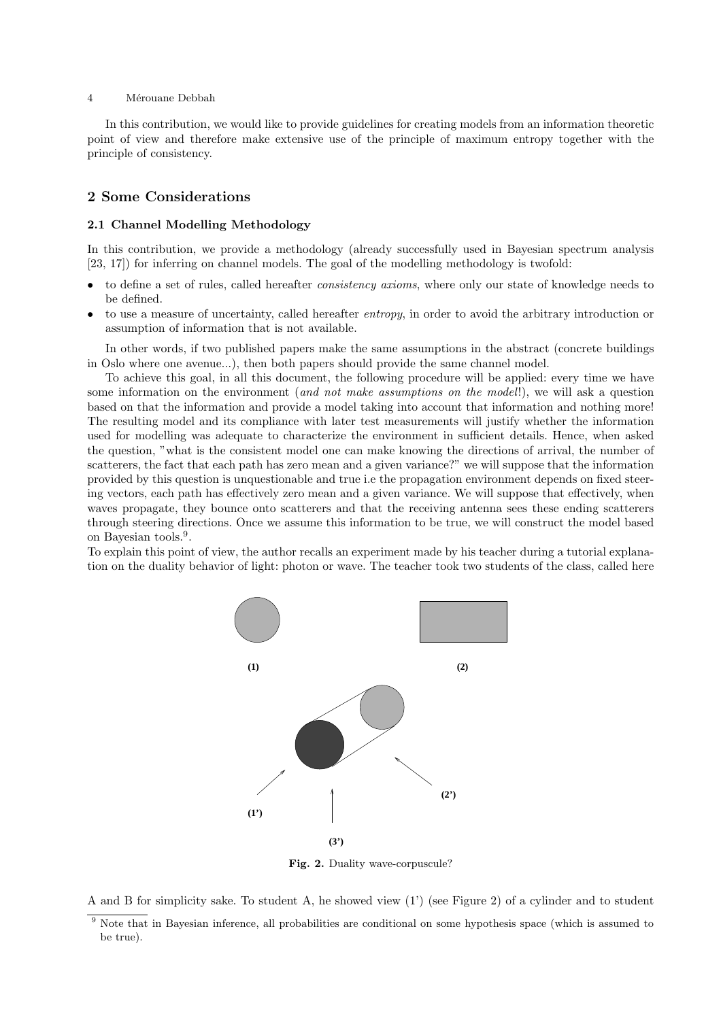In this contribution, we would like to provide guidelines for creating models from an information theoretic point of view and therefore make extensive use of the principle of maximum entropy together with the principle of consistency.

## 2 Some Considerations

#### 2.1 Channel Modelling Methodology

In this contribution, we provide a methodology (already successfully used in Bayesian spectrum analysis [23, 17]) for inferring on channel models. The goal of the modelling methodology is twofold:

- to define a set of rules, called hereafter consistency axioms, where only our state of knowledge needs to be defined.
- to use a measure of uncertainty, called hereafter entropy, in order to avoid the arbitrary introduction or assumption of information that is not available.

In other words, if two published papers make the same assumptions in the abstract (concrete buildings in Oslo where one avenue...), then both papers should provide the same channel model.

To achieve this goal, in all this document, the following procedure will be applied: every time we have some information on the environment (and not make assumptions on the model!), we will ask a question based on that the information and provide a model taking into account that information and nothing more! The resulting model and its compliance with later test measurements will justify whether the information used for modelling was adequate to characterize the environment in sufficient details. Hence, when asked the question, "what is the consistent model one can make knowing the directions of arrival, the number of scatterers, the fact that each path has zero mean and a given variance?" we will suppose that the information provided by this question is unquestionable and true i.e the propagation environment depends on fixed steering vectors, each path has effectively zero mean and a given variance. We will suppose that effectively, when waves propagate, they bounce onto scatterers and that the receiving antenna sees these ending scatterers through steering directions. Once we assume this information to be true, we will construct the model based on Bayesian tools.<sup>9</sup> .

To explain this point of view, the author recalls an experiment made by his teacher during a tutorial explanation on the duality behavior of light: photon or wave. The teacher took two students of the class, called here



Fig. 2. Duality wave-corpuscule?

A and B for simplicity sake. To student A, he showed view (1') (see Figure 2) of a cylinder and to student

<sup>&</sup>lt;sup>9</sup> Note that in Bayesian inference, all probabilities are conditional on some hypothesis space (which is assumed to be true).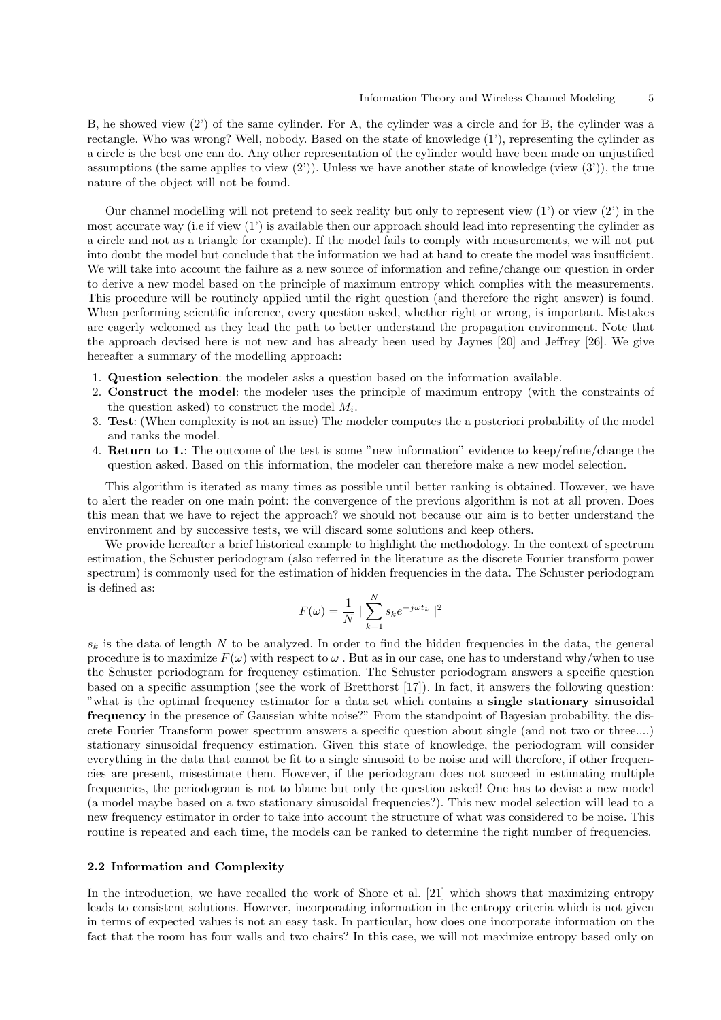B, he showed view (2') of the same cylinder. For A, the cylinder was a circle and for B, the cylinder was a rectangle. Who was wrong? Well, nobody. Based on the state of knowledge (1'), representing the cylinder as a circle is the best one can do. Any other representation of the cylinder would have been made on unjustified assumptions (the same applies to view  $(2')$ ). Unless we have another state of knowledge (view  $(3')$ ), the true nature of the object will not be found.

Our channel modelling will not pretend to seek reality but only to represent view  $(1')$  or view  $(2')$  in the most accurate way (i.e if view (1') is available then our approach should lead into representing the cylinder as a circle and not as a triangle for example). If the model fails to comply with measurements, we will not put into doubt the model but conclude that the information we had at hand to create the model was insufficient. We will take into account the failure as a new source of information and refine/change our question in order to derive a new model based on the principle of maximum entropy which complies with the measurements. This procedure will be routinely applied until the right question (and therefore the right answer) is found. When performing scientific inference, every question asked, whether right or wrong, is important. Mistakes are eagerly welcomed as they lead the path to better understand the propagation environment. Note that the approach devised here is not new and has already been used by Jaynes [20] and Jeffrey [26]. We give hereafter a summary of the modelling approach:

- 1. Question selection: the modeler asks a question based on the information available.
- 2. Construct the model: the modeler uses the principle of maximum entropy (with the constraints of the question asked) to construct the model  $M_i$ .
- 3. Test: (When complexity is not an issue) The modeler computes the a posteriori probability of the model and ranks the model.
- 4. Return to 1.: The outcome of the test is some "new information" evidence to keep/refine/change the question asked. Based on this information, the modeler can therefore make a new model selection.

This algorithm is iterated as many times as possible until better ranking is obtained. However, we have to alert the reader on one main point: the convergence of the previous algorithm is not at all proven. Does this mean that we have to reject the approach? we should not because our aim is to better understand the environment and by successive tests, we will discard some solutions and keep others.

We provide hereafter a brief historical example to highlight the methodology. In the context of spectrum estimation, the Schuster periodogram (also referred in the literature as the discrete Fourier transform power spectrum) is commonly used for the estimation of hidden frequencies in the data. The Schuster periodogram is defined as:

$$
F(\omega) = \frac{1}{N} \mid \sum_{k=1}^{N} s_k e^{-j\omega t_k} \mid^2
$$

 $s_k$  is the data of length N to be analyzed. In order to find the hidden frequencies in the data, the general procedure is to maximize  $F(\omega)$  with respect to  $\omega$ . But as in our case, one has to understand why/when to use the Schuster periodogram for frequency estimation. The Schuster periodogram answers a specific question based on a specific assumption (see the work of Bretthorst [17]). In fact, it answers the following question: "what is the optimal frequency estimator for a data set which contains a single stationary sinusoidal frequency in the presence of Gaussian white noise?" From the standpoint of Bayesian probability, the discrete Fourier Transform power spectrum answers a specific question about single (and not two or three....) stationary sinusoidal frequency estimation. Given this state of knowledge, the periodogram will consider everything in the data that cannot be fit to a single sinusoid to be noise and will therefore, if other frequencies are present, misestimate them. However, if the periodogram does not succeed in estimating multiple frequencies, the periodogram is not to blame but only the question asked! One has to devise a new model (a model maybe based on a two stationary sinusoidal frequencies?). This new model selection will lead to a new frequency estimator in order to take into account the structure of what was considered to be noise. This routine is repeated and each time, the models can be ranked to determine the right number of frequencies.

#### 2.2 Information and Complexity

In the introduction, we have recalled the work of Shore et al. [21] which shows that maximizing entropy leads to consistent solutions. However, incorporating information in the entropy criteria which is not given in terms of expected values is not an easy task. In particular, how does one incorporate information on the fact that the room has four walls and two chairs? In this case, we will not maximize entropy based only on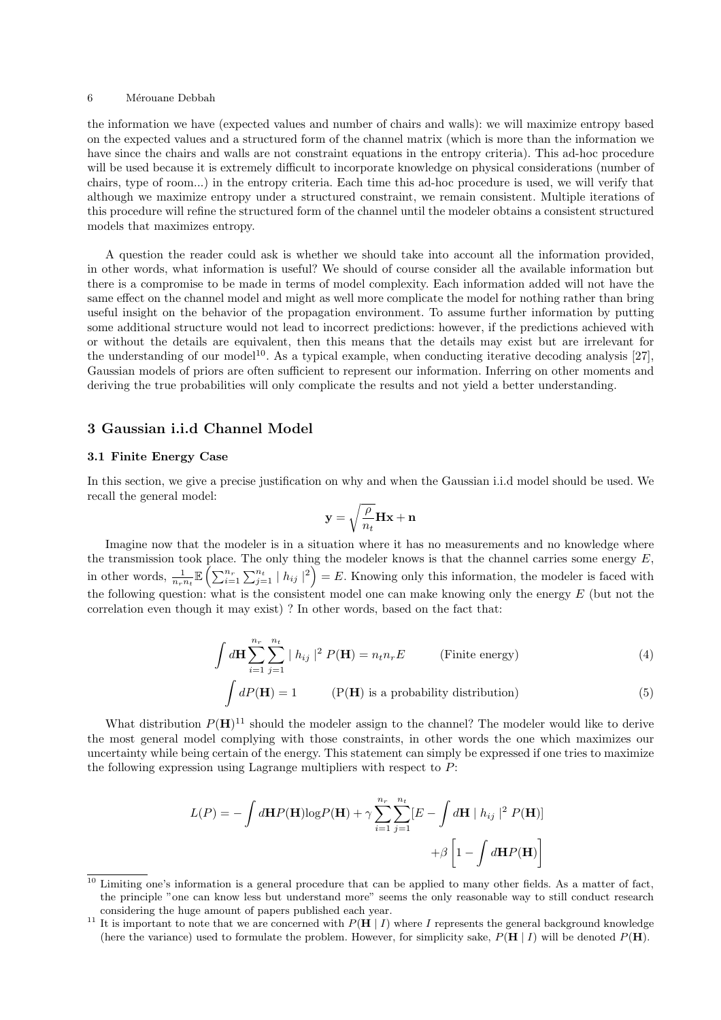the information we have (expected values and number of chairs and walls): we will maximize entropy based on the expected values and a structured form of the channel matrix (which is more than the information we have since the chairs and walls are not constraint equations in the entropy criteria). This ad-hoc procedure will be used because it is extremely difficult to incorporate knowledge on physical considerations (number of chairs, type of room...) in the entropy criteria. Each time this ad-hoc procedure is used, we will verify that although we maximize entropy under a structured constraint, we remain consistent. Multiple iterations of this procedure will refine the structured form of the channel until the modeler obtains a consistent structured models that maximizes entropy.

A question the reader could ask is whether we should take into account all the information provided, in other words, what information is useful? We should of course consider all the available information but there is a compromise to be made in terms of model complexity. Each information added will not have the same effect on the channel model and might as well more complicate the model for nothing rather than bring useful insight on the behavior of the propagation environment. To assume further information by putting some additional structure would not lead to incorrect predictions: however, if the predictions achieved with or without the details are equivalent, then this means that the details may exist but are irrelevant for the understanding of our model<sup>10</sup>. As a typical example, when conducting iterative decoding analysis [27], Gaussian models of priors are often sufficient to represent our information. Inferring on other moments and deriving the true probabilities will only complicate the results and not yield a better understanding.

### 3 Gaussian i.i.d Channel Model

#### 3.1 Finite Energy Case

In this section, we give a precise justification on why and when the Gaussian i.i.d model should be used. We recall the general model:

$$
\mathbf{y} = \sqrt{\frac{\rho}{n_t}} \mathbf{H} \mathbf{x} + \mathbf{n}
$$

Imagine now that the modeler is in a situation where it has no measurements and no knowledge where the transmission took place. The only thing the modeler knows is that the channel carries some energy  $E$ , the transmission took place. The only thing the modeler knows is that the channel carries some energy  $E$ ,<br>in other words,  $\frac{1}{n_r n_t} \mathbb{E} \left( \sum_{i=1}^{n_r} \sum_{j=1}^{n_t} |h_{ij}|^2 \right) = E$ . Knowing only this information, the modele the following question: what is the consistent model one can make knowing only the energy  $E$  (but not the correlation even though it may exist) ? In other words, based on the fact that:

$$
\int d\mathbf{H} \sum_{i=1}^{n_r} \sum_{j=1}^{n_t} |h_{ij}|^2 P(\mathbf{H}) = n_t n_r E \qquad \text{(Finite energy)} \tag{4}
$$

$$
\int dP(\mathbf{H}) = 1
$$
 (P(**H**) is a probability distribution) (5)

What distribution  $P(H)^{11}$  should the modeler assign to the channel? The modeler would like to derive the most general model complying with those constraints, in other words the one which maximizes our uncertainty while being certain of the energy. This statement can simply be expressed if one tries to maximize the following expression using Lagrange multipliers with respect to  $P$ :

$$
L(P) = -\int d\mathbf{H}P(\mathbf{H})\log P(\mathbf{H}) + \gamma \sum_{i=1}^{n_r} \sum_{j=1}^{n_t} [E - \int d\mathbf{H} | h_{ij} |^2 P(\mathbf{H})]
$$

$$
+ \beta \left[1 - \int d\mathbf{H}P(\mathbf{H})\right]
$$

 $\frac{10}{10}$  Limiting one's information is a general procedure that can be applied to many other fields. As a matter of fact, the principle "one can know less but understand more" seems the only reasonable way to still conduct research considering the huge amount of papers published each year.

<sup>&</sup>lt;sup>11</sup> It is important to note that we are concerned with  $P(H | I)$  where I represents the general background knowledge (here the variance) used to formulate the problem. However, for simplicity sake,  $P(H | I)$  will be denoted  $P(H)$ .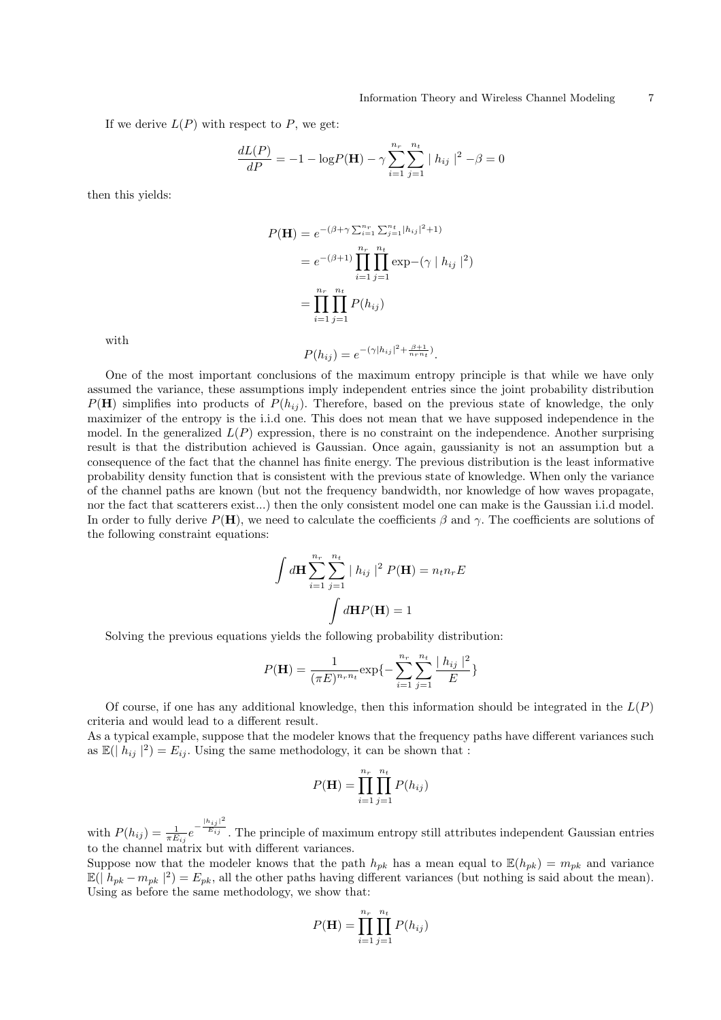If we derive  $L(P)$  with respect to P, we get:

$$
\frac{dL(P)}{dP} = -1 - \log P(\mathbf{H}) - \gamma \sum_{i=1}^{n_r} \sum_{j=1}^{n_t} |h_{ij}|^2 - \beta = 0
$$

then this yields:

$$
P(\mathbf{H}) = e^{-(\beta + \gamma \sum_{i=1}^{n_r} \sum_{j=1}^{n_t} |h_{ij}|^2 + 1)}
$$
  
=  $e^{-(\beta + 1)} \prod_{i=1}^{n_r} \prod_{j=1}^{n_t} \exp(-(\gamma | h_{ij} |^2))$   
=  $\prod_{i=1}^{n_r} \prod_{j=1}^{n_t} P(h_{ij})$ 

with

$$
P(h_{ij}) = e^{-(\gamma|h_{ij}|^2 + \frac{\beta + 1}{n_r n_t})}.
$$

One of the most important conclusions of the maximum entropy principle is that while we have only assumed the variance, these assumptions imply independent entries since the joint probability distribution  $P(H)$  simplifies into products of  $P(h_{ij})$ . Therefore, based on the previous state of knowledge, the only maximizer of the entropy is the i.i.d one. This does not mean that we have supposed independence in the model. In the generalized  $L(P)$  expression, there is no constraint on the independence. Another surprising result is that the distribution achieved is Gaussian. Once again, gaussianity is not an assumption but a consequence of the fact that the channel has finite energy. The previous distribution is the least informative probability density function that is consistent with the previous state of knowledge. When only the variance of the channel paths are known (but not the frequency bandwidth, nor knowledge of how waves propagate, nor the fact that scatterers exist...) then the only consistent model one can make is the Gaussian i.i.d model. In order to fully derive  $P(\mathbf{H})$ , we need to calculate the coefficients  $\beta$  and  $\gamma$ . The coefficients are solutions of the following constraint equations:

$$
\int d\mathbf{H} \sum_{i=1}^{n_r} \sum_{j=1}^{n_t} |h_{ij}|^2 P(\mathbf{H}) = n_t n_r E
$$

$$
\int d\mathbf{H} P(\mathbf{H}) = 1
$$

Solving the previous equations yields the following probability distribution:

$$
P(\mathbf{H}) = \frac{1}{(\pi E)^{n_r n_t}} \exp\{-\sum_{i=1}^{n_r} \sum_{j=1}^{n_t} \frac{|h_{ij}|^2}{E}\}
$$

Of course, if one has any additional knowledge, then this information should be integrated in the  $L(P)$ criteria and would lead to a different result.

As a typical example, suppose that the modeler knows that the frequency paths have different variances such as  $\mathbb{E}(|h_{ij}|^2) = E_{ij}$ . Using the same methodology, it can be shown that :

$$
P(\mathbf{H}) = \prod_{i=1}^{n_r} \prod_{j=1}^{n_t} P(h_{ij})
$$

with  $P(h_{ij}) = \frac{1}{\pi E_{ij}} e^{-\frac{|h_{ij}|^2}{E_{ij}}}$  $\overline{E_{ij}}$ . The principle of maximum entropy still attributes independent Gaussian entries to the channel matrix but with different variances.

Suppose now that the modeler knows that the path  $h_{pk}$  has a mean equal to  $\mathbb{E}(h_{pk}) = m_{pk}$  and variance  $\mathbb{E}(|h_{pk} - m_{pk}|^2) = E_{pk}$ , all the other paths having different variances (but nothing is said about the mean). Using as before the same methodology, we show that:

$$
P(\mathbf{H}) = \prod_{i=1}^{n_r} \prod_{j=1}^{n_t} P(h_{ij})
$$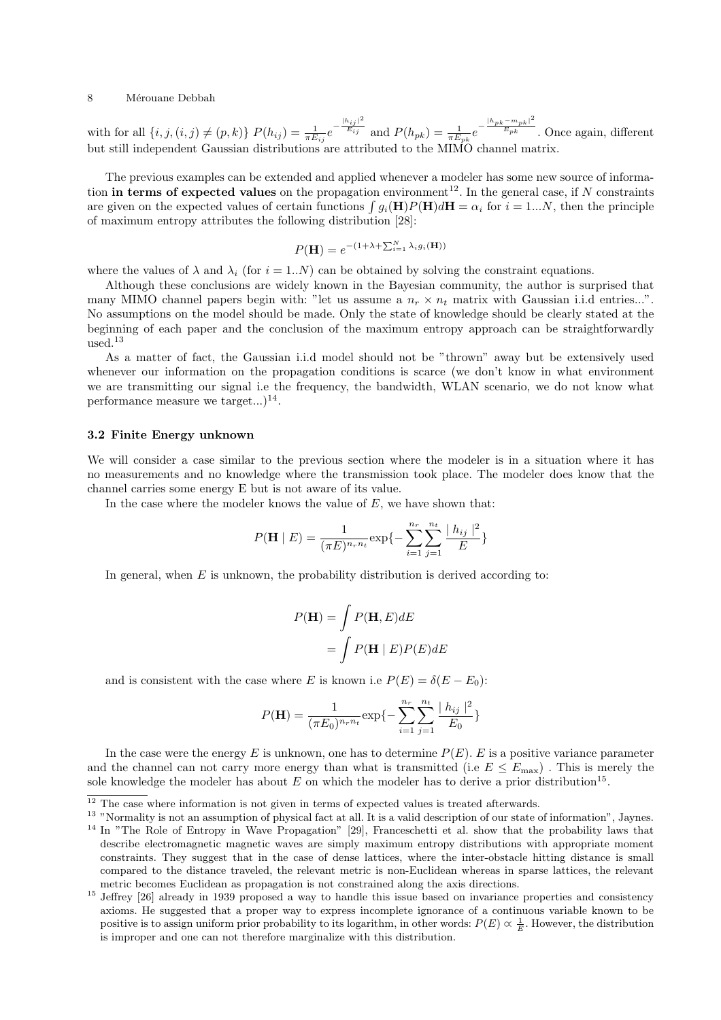with for all  $\{i, j, (i, j) \neq (p, k)\}$   $P(h_{ij}) = \frac{1}{\pi E_{ij}} e^{-\frac{|h_{ij}|^2}{E_{ij}}}$  and  $P(h_{pk}) = \frac{1}{\pi E_{pk}} e^{-\frac{|h_{pk} - m_{pk}|^2}{E_{pk}}}$  $\sqrt{E_{pk}}$  . Once again, different but still independent Gaussian distributions are attributed to the MIMO channel matrix.

The previous examples can be extended and applied whenever a modeler has some new source of information in terms of expected values on the propagation environment<sup>12</sup>. In the general case, if  $N$  constraints tion **in terms of expected values** on the propagation environment<sup>22</sup>. In the general case, if *N* constraints are given on the expected values of certain functions  $\int g_i(\mathbf{H})P(\mathbf{H})d\mathbf{H} = \alpha_i$  for  $i = 1...N$ , then the pr of maximum entropy attributes the following distribution [28]:

$$
P(\mathbf{H}) = e^{-(1+\lambda + \sum_{i=1}^{N} \lambda_i g_i(\mathbf{H}))}
$$

where the values of  $\lambda$  and  $\lambda_i$  (for  $i = 1..N$ ) can be obtained by solving the constraint equations.

Although these conclusions are widely known in the Bayesian community, the author is surprised that many MIMO channel papers begin with: "let us assume a  $n_r \times n_t$  matrix with Gaussian i.i.d entries...". No assumptions on the model should be made. Only the state of knowledge should be clearly stated at the beginning of each paper and the conclusion of the maximum entropy approach can be straightforwardly used. $13$ 

As a matter of fact, the Gaussian i.i.d model should not be "thrown" away but be extensively used whenever our information on the propagation conditions is scarce (we don't know in what environment we are transmitting our signal i.e the frequency, the bandwidth, WLAN scenario, we do not know what performance measure we target... $)^{14}$ .

#### 3.2 Finite Energy unknown

We will consider a case similar to the previous section where the modeler is in a situation where it has no measurements and no knowledge where the transmission took place. The modeler does know that the channel carries some energy E but is not aware of its value.

In the case where the modeler knows the value of  $E$ , we have shown that:

$$
P(\mathbf{H} \mid E) = \frac{1}{(\pi E)^{n_r n_t}} \exp\{-\sum_{i=1}^{n_r} \sum_{j=1}^{n_t} \frac{|h_{ij}|^2}{E}\}
$$

In general, when  $E$  is unknown, the probability distribution is derived according to:

$$
P(\mathbf{H}) = \int P(\mathbf{H}, E) dE
$$

$$
= \int P(\mathbf{H} | E) P(E) dE
$$

and is consistent with the case where E is known i.e  $P(E) = \delta(E - E_0)$ :

$$
P(\mathbf{H}) = \frac{1}{(\pi E_0)^{n_r n_t}} \exp\{-\sum_{i=1}^{n_r} \sum_{j=1}^{n_t} \frac{|h_{ij}|^2}{E_0}\}
$$

In the case were the energy E is unknown, one has to determine  $P(E)$ . E is a positive variance parameter and the channel can not carry more energy than what is transmitted (i.e  $E \n\t\le E_{\text{max}}$ ). This is merely the sole knowledge the modeler has about  $E$  on which the modeler has to derive a prior distribution<sup>15</sup>.

 $\overline{12}$  The case where information is not given in terms of expected values is treated afterwards.

<sup>&</sup>lt;sup>13</sup> "Normality is not an assumption of physical fact at all. It is a valid description of our state of information", Jaynes.

<sup>&</sup>lt;sup>14</sup> In "The Role of Entropy in Wave Propagation" [29], Franceschetti et al. show that the probability laws that describe electromagnetic magnetic waves are simply maximum entropy distributions with appropriate moment constraints. They suggest that in the case of dense lattices, where the inter-obstacle hitting distance is small compared to the distance traveled, the relevant metric is non-Euclidean whereas in sparse lattices, the relevant metric becomes Euclidean as propagation is not constrained along the axis directions.

<sup>&</sup>lt;sup>15</sup> Jeffrey [26] already in 1939 proposed a way to handle this issue based on invariance properties and consistency axioms. He suggested that a proper way to express incomplete ignorance of a continuous variable known to be positive is to assign uniform prior probability to its logarithm, in other words:  $P(E) \propto \frac{1}{E}$ . However, the distribution is improper and one can not therefore marginalize with this distribution.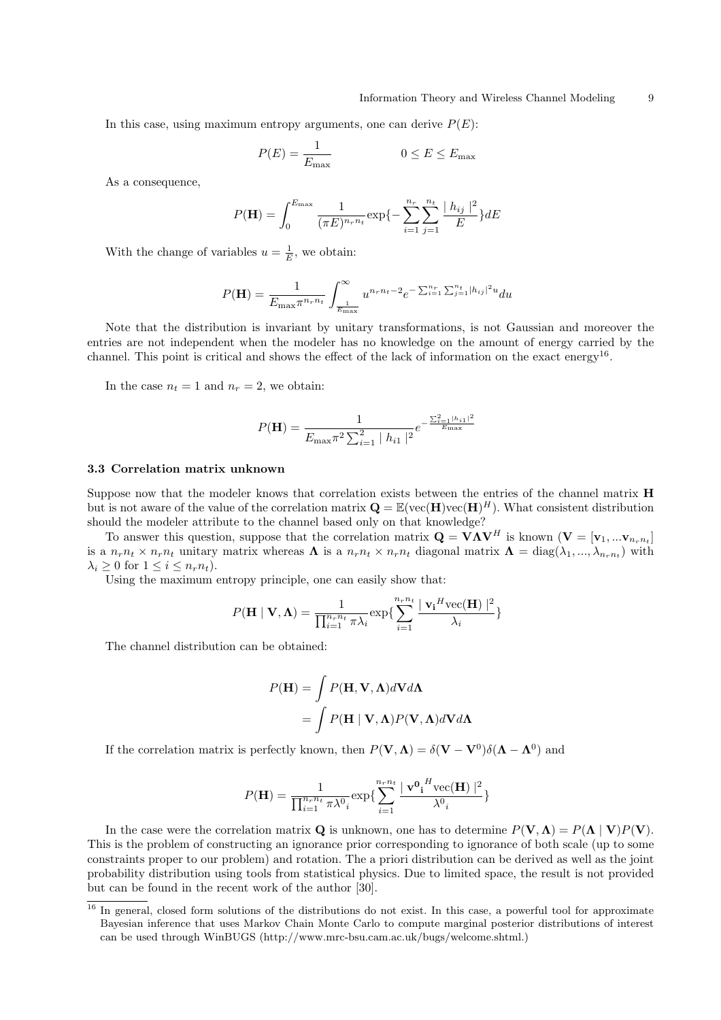In this case, using maximum entropy arguments, one can derive  $P(E)$ :

$$
P(E) = \frac{1}{E_{\text{max}}} \qquad \qquad 0 \le E \le E_{\text{max}}
$$

As a consequence,

$$
P(\mathbf{H}) = \int_0^{E_{\text{max}}} \frac{1}{(\pi E)^{n_r n_t}} \exp\{-\sum_{i=1}^{n_r} \sum_{j=1}^{n_t} \frac{|h_{ij}|^2}{E}\} dE
$$

With the change of variables  $u = \frac{1}{E}$ , we obtain:

$$
P(\mathbf{H}) = \frac{1}{E_{\max} \pi^{n_r n_t}} \int_{\frac{1}{E_{\max}}}^{\infty} u^{n_r n_t - 2} e^{-\sum_{i=1}^{n_r} \sum_{j=1}^{n_t} |h_{ij}|^2 u} du
$$

Note that the distribution is invariant by unitary transformations, is not Gaussian and moreover the entries are not independent when the modeler has no knowledge on the amount of energy carried by the channel. This point is critical and shows the effect of the lack of information on the exact energy<sup>16</sup>.

In the case  $n_t = 1$  and  $n_r = 2$ , we obtain:

$$
P(\mathbf{H}) = \frac{1}{E_{\text{max}}\pi^2 \sum_{i=1}^{2} |h_{i1}|^2} e^{-\frac{\sum_{i=1}^{2} |h_{i1}|^2}{E_{\text{max}}}}
$$

### 3.3 Correlation matrix unknown

Suppose now that the modeler knows that correlation exists between the entries of the channel matrix H but is not aware of the value of the correlation matrix  $\mathbf{Q} = \mathbb{E}(\text{vec}(\mathbf{H})\text{vec}(\mathbf{H})^H)$ . What consistent distribution should the modeler attribute to the channel based only on that knowledge?

To answer this question, suppose that the correlation matrix  $\mathbf{Q} = \mathbf{V}\mathbf{\Lambda}\mathbf{V}^H$  is known  $(\mathbf{V} = [\mathbf{v}_1, ... \mathbf{v}_{n_r n_t}]$ is a  $n_r n_t \times n_r n_t$  unitary matrix whereas  $\Lambda$  is a  $n_r n_t \times n_r n_t$  diagonal matrix  $\Lambda = \text{diag}(\lambda_1, ..., \lambda_{n_r n_t})$  with  $\lambda_i \geq 0$  for  $1 \leq i \leq n_r n_t$ ).

Using the maximum entropy principle, one can easily show that:

$$
P(\mathbf{H} \mid \mathbf{V}, \mathbf{\Lambda}) = \frac{1}{\prod_{i=1}^{n_r n_t} \pi \lambda_i} \exp\{\sum_{i=1}^{n_r n_t} \frac{|\mathbf{v_i}^H \text{vec}(\mathbf{H})|^2}{\lambda_i}\}
$$

The channel distribution can be obtained:

$$
P(\mathbf{H}) = \int P(\mathbf{H}, \mathbf{V}, \mathbf{\Lambda}) d\mathbf{V} d\mathbf{\Lambda}
$$

$$
= \int P(\mathbf{H} | \mathbf{V}, \mathbf{\Lambda}) P(\mathbf{V}, \mathbf{\Lambda}) d\mathbf{V} d\mathbf{\Lambda}
$$

If the correlation matrix is perfectly known, then  $P(V, \Lambda) = \delta(V - V^0)\delta(\Lambda - \Lambda^0)$  and

$$
P(\mathbf{H}) = \frac{1}{\prod_{i=1}^{n_r n_t} \pi \lambda^0_i} \exp\{\sum_{i=1}^{n_r n_t} \frac{\mid \mathbf{v^0}_\mathbf{i}^H \text{vec}(\mathbf{H})\mid^2}{\lambda^0_i}\}
$$

In the case were the correlation matrix Q is unknown, one has to determine  $P(V, \Lambda) = P(\Lambda | V)P(V)$ . This is the problem of constructing an ignorance prior corresponding to ignorance of both scale (up to some constraints proper to our problem) and rotation. The a priori distribution can be derived as well as the joint probability distribution using tools from statistical physics. Due to limited space, the result is not provided but can be found in the recent work of the author [30].

 $16$  In general, closed form solutions of the distributions do not exist. In this case, a powerful tool for approximate Bayesian inference that uses Markov Chain Monte Carlo to compute marginal posterior distributions of interest can be used through WinBUGS (http://www.mrc-bsu.cam.ac.uk/bugs/welcome.shtml.)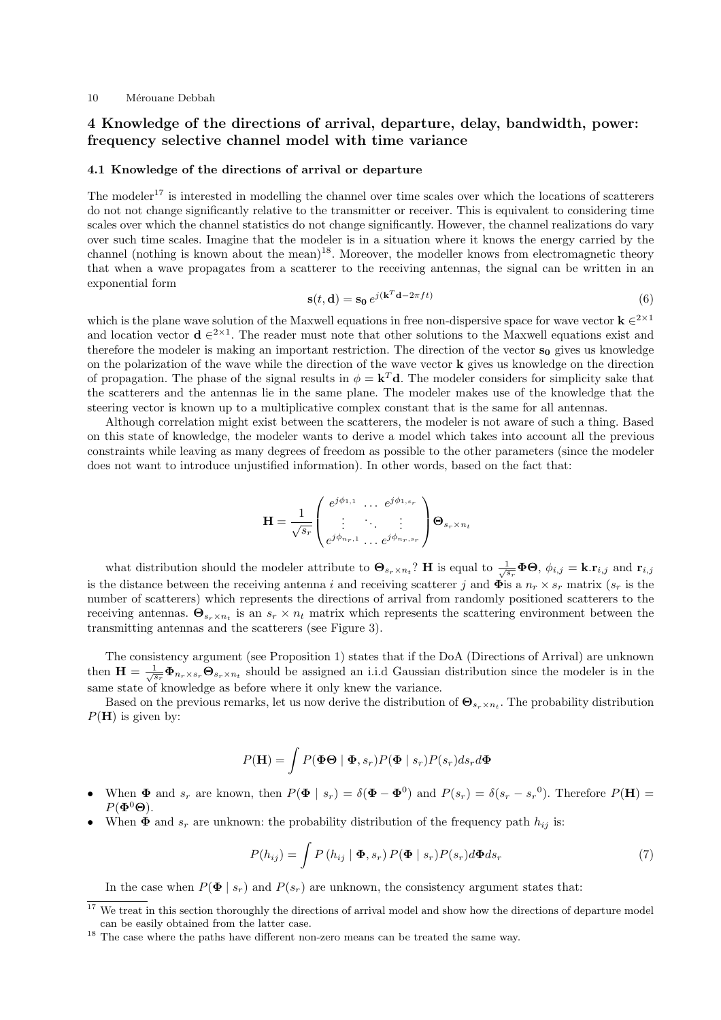## 4 Knowledge of the directions of arrival, departure, delay, bandwidth, power: frequency selective channel model with time variance

#### 4.1 Knowledge of the directions of arrival or departure

The modeler<sup>17</sup> is interested in modelling the channel over time scales over which the locations of scatterers do not not change significantly relative to the transmitter or receiver. This is equivalent to considering time scales over which the channel statistics do not change significantly. However, the channel realizations do vary over such time scales. Imagine that the modeler is in a situation where it knows the energy carried by the channel (nothing is known about the mean)<sup>18</sup>. Moreover, the modeller knows from electromagnetic theory that when a wave propagates from a scatterer to the receiving antennas, the signal can be written in an exponential form

$$
\mathbf{s}(t, \mathbf{d}) = \mathbf{s_0} e^{j(\mathbf{k}^T \mathbf{d} - 2\pi ft)} \tag{6}
$$

which is the plane wave solution of the Maxwell equations in free non-dispersive space for wave vector  $\mathbf{k} \in 2^{\times 1}$ and location vector  $\mathbf{d} \in 2^{x}$ . The reader must note that other solutions to the Maxwell equations exist and therefore the modeler is making an important restriction. The direction of the vector  $s_0$  gives us knowledge on the polarization of the wave while the direction of the wave vector  $\bf{k}$  gives us knowledge on the direction of propagation. The phase of the signal results in  $\phi = \mathbf{k}^T \mathbf{d}$ . The modeler considers for simplicity sake that the scatterers and the antennas lie in the same plane. The modeler makes use of the knowledge that the steering vector is known up to a multiplicative complex constant that is the same for all antennas.

Although correlation might exist between the scatterers, the modeler is not aware of such a thing. Based on this state of knowledge, the modeler wants to derive a model which takes into account all the previous constraints while leaving as many degrees of freedom as possible to the other parameters (since the modeler does not want to introduce unjustified information). In other words, based on the fact that:

$$
\mathbf{H} = \frac{1}{\sqrt{s_r}} \begin{pmatrix} e^{j\phi_{1,1}} & \cdots & e^{j\phi_{1,s_r}} \\ \vdots & \ddots & \vdots \\ e^{j\phi_{n_r,1}} & \cdots & e^{j\phi_{n_r,s_r}} \end{pmatrix} \mathbf{\Theta}_{s_r \times n_t}
$$

what distribution should the modeler attribute to  $\mathbf{\Theta}_{s_r \times n_t}$ ? H is equal to  $\frac{1}{\sqrt{s_r}} \mathbf{\Phi} \mathbf{\Theta}, \phi_{i,j} = \mathbf{k} . \mathbf{r}_{i,j}$  and  $\mathbf{r}_{i,j}$ is the distance between the receiving antenna i and receiving scatterer j and  $\Phi$ is a  $n_r \times s_r$  matrix  $(s_r$  is the number of scatterers) which represents the directions of arrival from randomly positioned scatterers to the receiving antennas.  $\Theta_{s_r \times n_t}$  is an  $s_r \times n_t$  matrix which represents the scattering environment between the transmitting antennas and the scatterers (see Figure 3).

The consistency argument (see Proposition 1) states that if the DoA (Directions of Arrival) are unknown then  $\mathbf{H} = \frac{1}{\sqrt{s_r}} \mathbf{\Phi}_{n_r \times s_r} \mathbf{\Theta}_{s_r \times n_t}$  should be assigned an i.i.d Gaussian distribution since the modeler is in the same state of knowledge as before where it only knew the variance.

Based on the previous remarks, let us now derive the distribution of  $\Theta_{s_r \times n_t}$ . The probability distribution  $P(H)$  is given by:

$$
P(\mathbf{H}) = \int P(\mathbf{\Phi} \Theta \mid \mathbf{\Phi}, s_r) P(\mathbf{\Phi} \mid s_r) P(s_r) ds_r d\mathbf{\Phi}
$$

- When  $\Phi$  and  $s_r$  are known, then  $P(\Phi \mid s_r) = \delta(\Phi \Phi^0)$  and  $P(s_r) = \delta(s_r s_r^0)$ . Therefore  $P(\mathbf{H}) =$  $P(\mathbf{\Phi}^0\mathbf{\Theta})$ .
- When  $\Phi$  and  $s_r$  are unknown: the probability distribution of the frequency path  $h_{ij}$  is:

$$
P(h_{ij}) = \int P(h_{ij} | \Phi, s_r) P(\Phi | s_r) P(s_r) d\Phi ds_r
$$
\n(7)

In the case when  $P(\mathbf{\Phi} \mid s_r)$  and  $P(s_r)$  are unknown, the consistency argument states that:

<sup>&</sup>lt;sup>17</sup> We treat in this section thoroughly the directions of arrival model and show how the directions of departure model can be easily obtained from the latter case.

<sup>&</sup>lt;sup>18</sup> The case where the paths have different non-zero means can be treated the same way.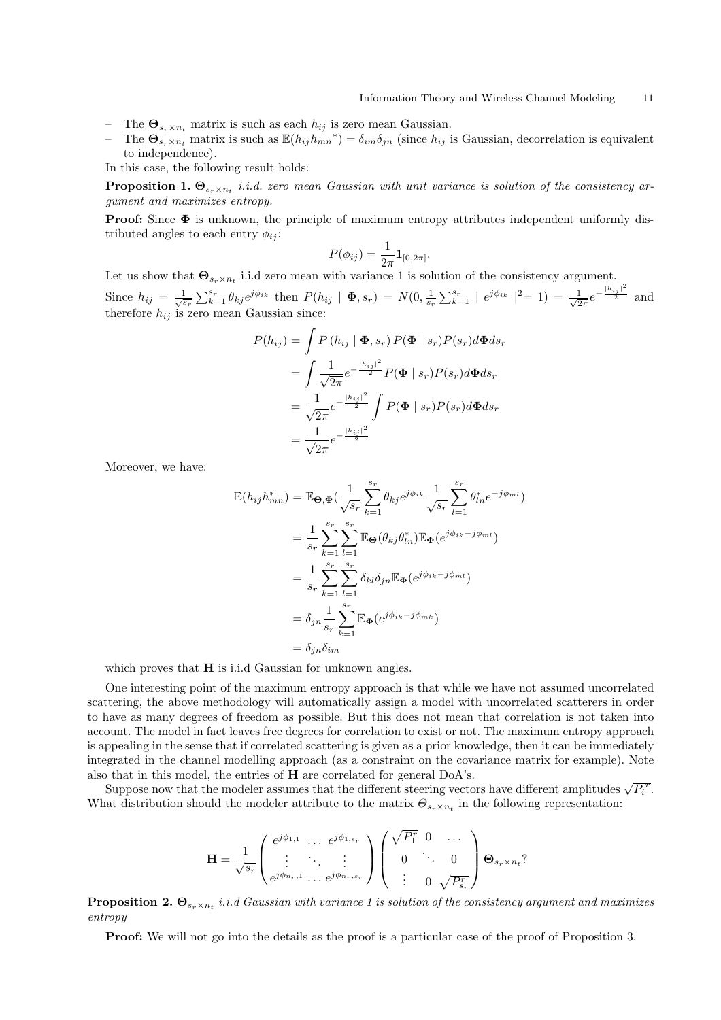- The  $\mathbf{\Theta}_{s_r \times n_t}$  matrix is such as each  $h_{ij}$  is zero mean Gaussian.
- The  $\Theta_{s_r \times n_t}$  matrix is such as  $\mathbb{E}(h_{ij}h_{mn}^{*}) = \delta_{im}\delta_{jn}$  (since  $h_{ij}$  is Gaussian, decorrelation is equivalent to independence).

In this case, the following result holds:

**Proposition 1.**  $\mathbf{\Theta}_{s_r \times n_t}$  *i.i.d. zero mean Gaussian with unit variance is solution of the consistency ar*gument and maximizes entropy.

**Proof:** Since  $\Phi$  is unknown, the principle of maximum entropy attributes independent uniformly distributed angles to each entry  $\phi_{ii}$ :

$$
P(\phi_{ij}) = \frac{1}{2\pi} \mathbf{1}_{[0,2\pi]}.
$$

Let us show that  $\mathbf{\Theta}_{s_r \times n_t}$  i.i.d zero mean with variance 1 is solution of the consistency argument. Since  $h_{ij} = \frac{1}{\sqrt{s_r}}$  $\sum_{k=1}^{s_r} \theta_{kj} e^{j\phi_{ik}}$  then  $P(h_{ij} | \Phi, s_r) = N(0, \frac{1}{s_r})$  $\sum_{k=1}^{s_r} |e^{j\phi_{ik}}|^2 = 1$  =  $\frac{1}{\sqrt{2}}$  $rac{1}{2\pi}e^{-\frac{|h_{ij}|^2}{2}}$  and therefore  $h_{ij}$  is zero mean Gaussian since:

$$
P(h_{ij}) = \int P(h_{ij} | \Phi, s_r) P(\Phi | s_r) P(s_r) d\Phi ds_r
$$
  
= 
$$
\int \frac{1}{\sqrt{2\pi}} e^{-\frac{|h_{ij}|^2}{2}} P(\Phi | s_r) P(s_r) d\Phi ds_r
$$
  
= 
$$
\frac{1}{\sqrt{2\pi}} e^{-\frac{|h_{ij}|^2}{2}} \int P(\Phi | s_r) P(s_r) d\Phi ds_r
$$
  
= 
$$
\frac{1}{\sqrt{2\pi}} e^{-\frac{|h_{ij}|^2}{2}}
$$

Moreover, we have:

$$
\mathbb{E}(h_{ij}h_{mn}^*) = \mathbb{E}_{\Theta,\Phi}(\frac{1}{\sqrt{s_r}}\sum_{k=1}^{s_r} \theta_{kj}e^{j\phi_{ik}} \frac{1}{\sqrt{s_r}}\sum_{l=1}^{s_r} \theta_{ln}^*e^{-j\phi_{ml}})
$$
  
\n
$$
= \frac{1}{s_r}\sum_{k=1}^{s_r}\sum_{l=1}^{s_r} \mathbb{E}_{\Theta}(\theta_{kj}\theta_{ln}^*)\mathbb{E}_{\Phi}(e^{j\phi_{ik}-j\phi_{ml}})
$$
  
\n
$$
= \frac{1}{s_r}\sum_{k=1}^{s_r}\sum_{l=1}^{s_r} \delta_{kl}\delta_{jn}\mathbb{E}_{\Phi}(e^{j\phi_{ik}-j\phi_{ml}})
$$
  
\n
$$
= \delta_{jn}\frac{1}{s_r}\sum_{k=1}^{s_r} \mathbb{E}_{\Phi}(e^{j\phi_{ik}-j\phi_{mk}})
$$
  
\n
$$
= \delta_{jn}\delta_{im}
$$

which proves that **H** is i.i.d Gaussian for unknown angles.

One interesting point of the maximum entropy approach is that while we have not assumed uncorrelated scattering, the above methodology will automatically assign a model with uncorrelated scatterers in order to have as many degrees of freedom as possible. But this does not mean that correlation is not taken into account. The model in fact leaves free degrees for correlation to exist or not. The maximum entropy approach is appealing in the sense that if correlated scattering is given as a prior knowledge, then it can be immediately integrated in the channel modelling approach (as a constraint on the covariance matrix for example). Note also that in this model, the entries of H are correlated for general DoA's.

s that in this model, the entries of **H** are correlated for general DoA's.<br>Suppose now that the modeler assumes that the different steering vectors have different amplitudes  $\sqrt{P_i^T}$ . What distribution should the modeler attribute to the matrix  $\Theta_{s_r \times n_t}$  in the following representation:

$$
\mathbf{H} = \frac{1}{\sqrt{s_r}} \begin{pmatrix} e^{j\phi_{1,1}} & \cdots & e^{j\phi_{1,s_r}} \\ \vdots & \ddots & \vdots \\ e^{j\phi_{n_r,1}} & \cdots & e^{j\phi_{n_r,s_r}} \end{pmatrix} \begin{pmatrix} \sqrt{P_1^r} & 0 & \cdots \\ 0 & \ddots & 0 \\ \vdots & 0 & \sqrt{P_{s_r}^r} \end{pmatrix} \mathbf{\Theta}_{s_r \times n_t}?
$$

**Proposition 2.**  $\Theta_{s_r \times n_t}$  *i.i.d Gaussian with variance 1 is solution of the consistency argument and maximizes* entropy

Proof: We will not go into the details as the proof is a particular case of the proof of Proposition 3.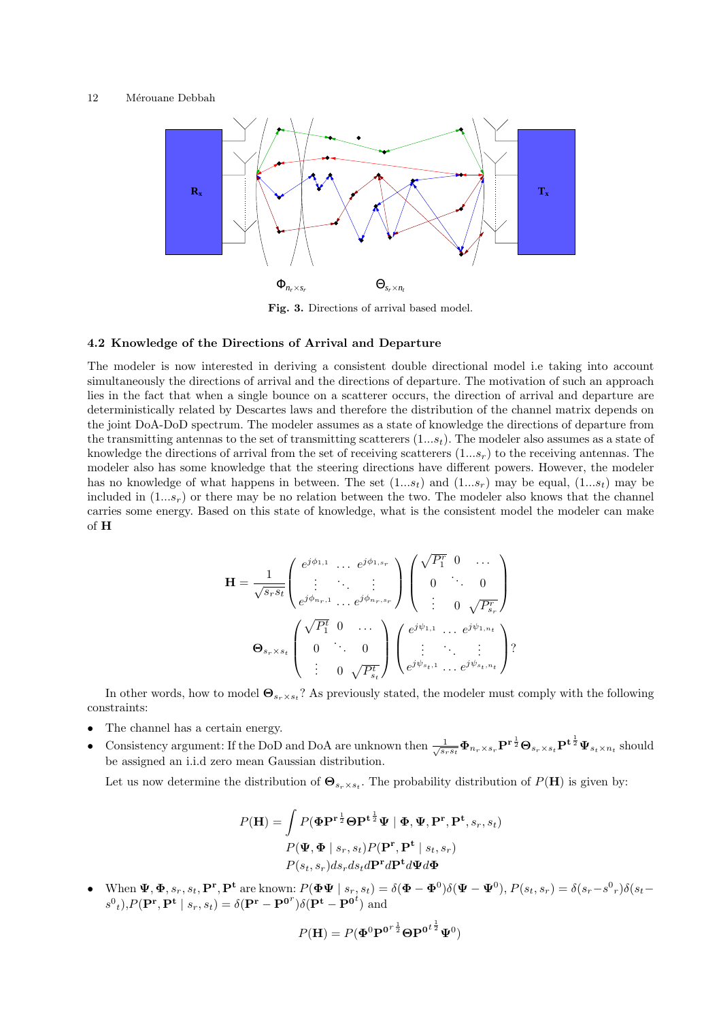

Fig. 3. Directions of arrival based model.

#### 4.2 Knowledge of the Directions of Arrival and Departure

The modeler is now interested in deriving a consistent double directional model i.e taking into account simultaneously the directions of arrival and the directions of departure. The motivation of such an approach lies in the fact that when a single bounce on a scatterer occurs, the direction of arrival and departure are deterministically related by Descartes laws and therefore the distribution of the channel matrix depends on the joint DoA-DoD spectrum. The modeler assumes as a state of knowledge the directions of departure from the transmitting antennas to the set of transmitting scatterers  $(1...s_t)$ . The modeler also assumes as a state of knowledge the directions of arrival from the set of receiving scatterers  $(1...s_r)$  to the receiving antennas. The modeler also has some knowledge that the steering directions have different powers. However, the modeler has no knowledge of what happens in between. The set  $(1...s_t)$  and  $(1...s_r)$  may be equal,  $(1...s_t)$  may be included in  $(1...s_r)$  or there may be no relation between the two. The modeler also knows that the channel carries some energy. Based on this state of knowledge, what is the consistent model the modeler can make of H

$$
\mathbf{H} = \frac{1}{\sqrt{s_r s_t}} \begin{pmatrix} e^{j\phi_{1,1}} & \cdots & e^{j\phi_{1,s_r}} \\ \vdots & \ddots & \vdots \\ e^{j\phi_{n_r,1}} & \cdots & e^{j\phi_{n_r,s_r}} \end{pmatrix} \begin{pmatrix} \sqrt{P_1^r} & 0 & \cdots \\ 0 & \ddots & 0 \\ \vdots & 0 & \sqrt{P_{s_r}^r} \end{pmatrix}
$$

$$
\mathbf{\Theta}_{s_r \times s_t} \begin{pmatrix} \sqrt{P_1^t} & 0 & \cdots \\ 0 & \ddots & 0 \\ \vdots & 0 & \sqrt{P_{s_t}^t} \end{pmatrix} \begin{pmatrix} e^{j\psi_{1,1}} & \cdots & e^{j\psi_{1,n_t}} \\ \vdots & \ddots & \vdots \\ e^{j\psi_{s_t,1}} & \cdots & e^{j\psi_{s_t,n_t}} \end{pmatrix} ?
$$

In other words, how to model  $\Theta_{s_r\times s_t}$ ? As previously stated, the modeler must comply with the following constraints:

- The channel has a certain energy.
- Consistency argument: If the DoD and DoA are unknown then  $\frac{1}{\sqrt{s_r s_t}} \Phi_{n_r \times s_r} \mathbf{P}^{\mathbf{r} \frac{1}{2}} \Theta_{s_r \times s_t} \mathbf{P}^{\mathbf{t} \frac{1}{2}} \Psi_{s_t \times n_t}$  should be assigned an i.i.d zero mean Gaussian distribution.

Let us now determine the distribution of  $\mathbf{\Theta}_{s_r \times s_t}$ . The probability distribution of  $P(\mathbf{H})$  is given by:

$$
P(\mathbf{H}) = \int P(\mathbf{\Phi} \mathbf{P}^{\mathbf{r}} \frac{1}{2} \mathbf{\Theta} \mathbf{P}^{\mathbf{t}} \frac{1}{2} \mathbf{\Psi} \mid \mathbf{\Phi}, \mathbf{\Psi}, \mathbf{P}^{\mathbf{r}}, \mathbf{P}^{\mathbf{t}}, s_r, s_t)
$$

$$
P(\mathbf{\Psi}, \mathbf{\Phi} \mid s_r, s_t) P(\mathbf{P}^{\mathbf{r}}, \mathbf{P}^{\mathbf{t}} \mid s_t, s_r)
$$

$$
P(s_t, s_r) ds_r ds_t d\mathbf{P}^{\mathbf{r}} d\mathbf{P}^{\mathbf{t}} d\mathbf{\Psi} d\mathbf{\Phi}
$$

• When  $\Psi, \Phi, s_r, s_t, \mathbf{P}^r, \mathbf{P}^t$  are known:  $P(\Phi\Psi \mid s_r, s_t) = \delta(\Phi - \Phi^0)\delta(\Psi - \Psi^0), P(s_t, s_r) = \delta(s_r - s^0)_r \delta(s_t - \Phi^0)$  $s^0$ <sub>t</sub>), $P(\mathbf{P^r}, \mathbf{P^t} \mid s_r, s_t) = \delta(\mathbf{P^r} - \mathbf{P^{0}}^r)\delta(\mathbf{P^t} - \mathbf{P^{0}}^t)$  and

$$
P(\mathbf{H}) = P(\mathbf{\Phi}^0 \mathbf{P}^{0r\frac{1}{2}} \mathbf{\Theta} \mathbf{P}^{0t\frac{1}{2}} \mathbf{\Psi}^0)
$$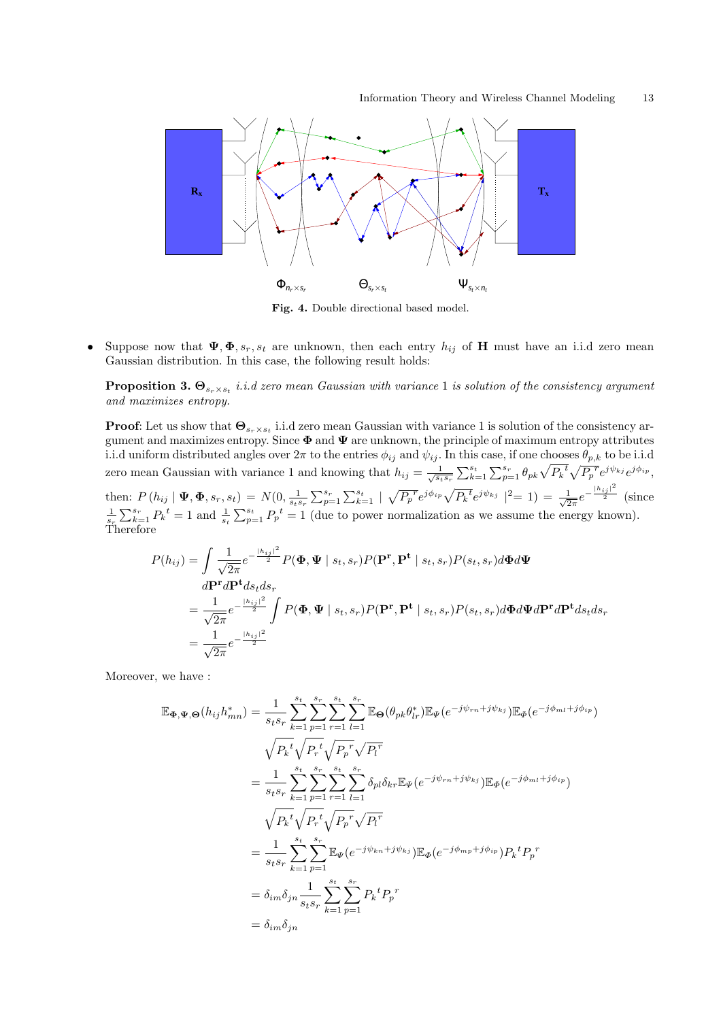

Fig. 4. Double directional based model.

• Suppose now that  $\Psi$ ,  $\Phi$ ,  $s_r$ ,  $s_t$  are unknown, then each entry  $h_{ij}$  of H must have an i.i.d zero mean Gaussian distribution. In this case, the following result holds:

**Proposition 3.**  $\Theta_{s_r \times s_t}$  *i.i.d zero mean Gaussian with variance* 1 *is solution of the consistency argument* and maximizes entropy.

**Proof:** Let us show that  $\Theta_{s_r \times s_t}$  i.i.d zero mean Gaussian with variance 1 is solution of the consistency argument and maximizes entropy. Since  $\Phi$  and  $\Psi$  are unknown, the principle of maximum entropy attributes i.i.d uniform distributed angles over  $2\pi$  to the entries  $\phi_{ij}$  and  $\psi_{ij}$ . In this case, if one chooses  $\theta_{p,k}$  to be i.i.d zero mean Gaussian with variance 1 and knowing that  $h_{ij} = \frac{1}{\sqrt{s_i s_r}}$ this case, if one chooses  $\varphi_{p,k}$  to be i.i.d<br>  $\sum_{k=1}^{s_t} \sum_{p=1}^{s_r} \theta_{pk} \sqrt{P_k}^t \sqrt{P_p^r} e^{j\psi_{kj}} e^{j\phi_{ip}},$ 

then:  $P(h_{ij} | \Psi, \Phi, s_r, s_t) = N(0, \frac{1}{s_t s_r})$  $\sum_{p=1}^{s_r} \sum_{k=1}^{s_t}$ p  $\frac{1}{P_p^r} e^{j\phi_{ip}} \sqrt{P_k^t} e^{j\psi_{kj}} \mid^2 = 1$  =  $\frac{1}{\sqrt{2}}$  $rac{1}{2\pi}e^{-\frac{|h_{ij}|^2}{2}}$  (since  $\frac{1}{s_r}$  $\sum_{k=1}^{s_r} P_k^t = 1$  and  $\frac{1}{s_t}$  $\sum_{p=1}^{s_t} P_p^t = 1$  (due to power normalization as we assume the energy known). Therefore

$$
P(h_{ij}) = \int \frac{1}{\sqrt{2\pi}} e^{-\frac{|h_{ij}|^2}{2}} P(\mathbf{\Phi}, \mathbf{\Psi} \mid s_t, s_r) P(\mathbf{P}^{\mathbf{r}}, \mathbf{P}^{\mathbf{t}} \mid s_t, s_r) P(s_t, s_r) d\mathbf{\Phi} d\mathbf{\Psi}
$$
  
\n
$$
d\mathbf{P}^{\mathbf{r}} d\mathbf{P}^{\mathbf{t}} ds_t ds_r
$$
\n
$$
= \frac{1}{\sqrt{2\pi}} e^{-\frac{|h_{ij}|^2}{2}} \int P(\mathbf{\Phi}, \mathbf{\Psi} \mid s_t, s_r) P(\mathbf{P}^{\mathbf{r}}, \mathbf{P}^{\mathbf{t}} \mid s_t, s_r) P(s_t, s_r) d\mathbf{\Phi} d\mathbf{\Psi} d\mathbf{P}^{\mathbf{r}} d\mathbf{P}^{\mathbf{t}} ds_t ds_r
$$
\n
$$
= \frac{1}{\sqrt{2\pi}} e^{-\frac{|h_{ij}|^2}{2}}
$$

Moreover, we have :

$$
\mathbb{E}_{\Phi,\Psi,\Theta}(h_{ij}h_{mn}^{*}) = \frac{1}{s_{t}s_{r}} \sum_{k=1}^{s_{t}} \sum_{p=1}^{s_{r}} \sum_{r=1}^{s_{t}} \sum_{l=1}^{s_{r}} \mathbb{E}_{\Theta}(\theta_{pk}\theta_{lr}^{*})\mathbb{E}_{\Psi}(e^{-j\psi_{rn}+j\psi_{kj}})\mathbb{E}_{\Phi}(e^{-j\phi_{ml}+j\phi_{ip}})
$$
\n
$$
\sqrt{P_{k}^{t}} \sqrt{P_{r}^{t}} \sqrt{P_{p}^{r}} \sqrt{P_{l}^{r}}
$$
\n
$$
= \frac{1}{s_{t}s_{r}} \sum_{k=1}^{s_{t}} \sum_{p=1}^{s_{r}} \sum_{r=1}^{s_{r}} \sum_{l=1}^{s_{r}} \delta_{pl}\delta_{kr}\mathbb{E}_{\Psi}(e^{-j\psi_{rn}+j\psi_{kj}})\mathbb{E}_{\Phi}(e^{-j\phi_{ml}+j\phi_{ip}})
$$
\n
$$
\sqrt{P_{k}^{t}} \sqrt{P_{r}^{t}} \sqrt{P_{p}^{r}} \sqrt{P_{l}^{r}}
$$
\n
$$
= \frac{1}{s_{t}s_{r}} \sum_{k=1}^{s_{t}} \sum_{p=1}^{s_{r}} \mathbb{E}_{\Psi}(e^{-j\psi_{kn}+j\psi_{kj}})\mathbb{E}_{\Phi}(e^{-j\phi_{mp}+j\phi_{ip}})P_{k}^{t}P_{p}^{r}
$$
\n
$$
= \delta_{im}\delta_{jn} \frac{1}{s_{t}s_{r}} \sum_{k=1}^{s_{t}} \sum_{p=1}^{s_{r}} P_{k}^{t}P_{p}^{r}
$$
\n
$$
= \delta_{im}\delta_{jn}
$$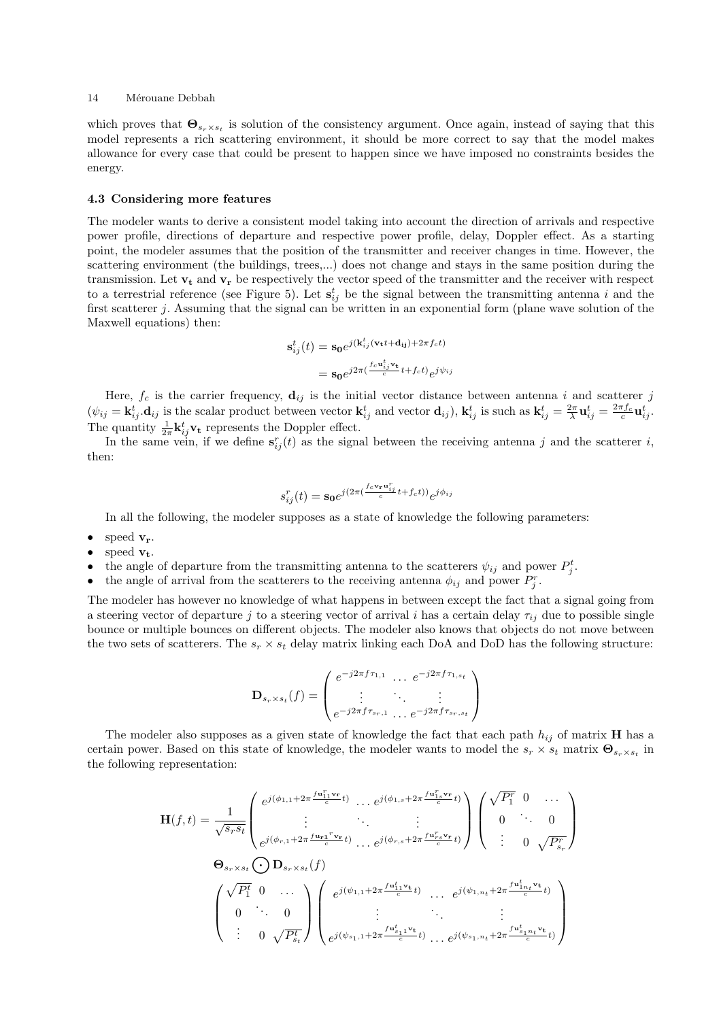which proves that  $\mathbf{\Theta}_{s_r\times s_t}$  is solution of the consistency argument. Once again, instead of saying that this model represents a rich scattering environment, it should be more correct to say that the model makes allowance for every case that could be present to happen since we have imposed no constraints besides the energy.

#### 4.3 Considering more features

The modeler wants to derive a consistent model taking into account the direction of arrivals and respective power profile, directions of departure and respective power profile, delay, Doppler effect. As a starting point, the modeler assumes that the position of the transmitter and receiver changes in time. However, the scattering environment (the buildings, trees,...) does not change and stays in the same position during the transmission. Let  $v_t$  and  $v_r$  be respectively the vector speed of the transmitter and the receiver with respect to a terrestrial reference (see Figure 5). Let  $s_{ij}^t$  be the signal between the transmitting antenna i and the first scatterer j. Assuming that the signal can be written in an exponential form (plane wave solution of the Maxwell equations) then:

$$
\mathbf{s}_{ij}^{t}(t) = \mathbf{s_0} e^{j(\mathbf{k}_{ij}^{t}(\mathbf{v_t}t + \mathbf{d_{ij}}) + 2\pi f_c t)}
$$

$$
= \mathbf{s_0} e^{j2\pi(\frac{fc\mathbf{u}_{ij}^{t} \mathbf{v_t}}{c}t + f_c t)} e^{j\psi_{ij}}
$$

Here,  $f_c$  is the carrier frequency,  $\mathbf{d}_{ij}$  is the initial vector distance between antenna i and scatterer j  $(\psi_{ij} = \mathbf{k}_{ij}^t \cdot \mathbf{d}_{ij}$  is the scalar product between vector  $\mathbf{k}_{ij}^t$  and vector  $\mathbf{d}_{ij}$ ),  $\mathbf{k}_{ij}^t$  is such as  $\mathbf{k}_{ij}^t = \frac{2\pi}{\lambda} \mathbf{u}_{ij}^t = \frac{2\pi f_c}{c} \mathbf{u}_{ij}^t$ . The quantity  $\frac{1}{2\pi} \mathbf{k}_{ij}^t \mathbf{v_t}$  represents the Doppler effect.

In the same vein, if we define  $s_{ij}^r(t)$  as the signal between the receiving antenna j and the scatterer i, then:

$$
s_{ij}^r(t) = \mathbf{s_0}e^{j(2\pi(\frac{fc\mathbf{v_r}\mathbf{u}_{ij}^r}{c}t + f_c t))}e^{j\phi_{ij}}
$$

In all the following, the modeler supposes as a state of knowledge the following parameters:

speed  $v_r$ .

- speed  $v_t$ .
- the angle of departure from the transmitting antenna to the scatterers  $\psi_{ij}$  and power  $P_j^t$ .
- the angle of arrival from the scatterers to the receiving antenna  $\phi_{ij}$  and power  $P_j^r$ .

The modeler has however no knowledge of what happens in between except the fact that a signal going from a steering vector of departure j to a steering vector of arrival i has a certain delay  $\tau_{ij}$  due to possible single bounce or multiple bounces on different objects. The modeler also knows that objects do not move between the two sets of scatterers. The  $s_r \times s_t$  delay matrix linking each DoA and DoD has the following structure:

$$
\mathbf{D}_{s_r \times s_t}(f) = \begin{pmatrix} e^{-j2\pi f \tau_{1,1}} & \cdots & e^{-j2\pi f \tau_{1,s_t}} \\ \vdots & \ddots & \vdots \\ e^{-j2\pi f \tau_{s_r,1}} & \cdots & e^{-j2\pi f \tau_{s_r,s_t}} \end{pmatrix}
$$

The modeler also supposes as a given state of knowledge the fact that each path  $h_{ij}$  of matrix **H** has a certain power. Based on this state of knowledge, the modeler wants to model the  $s_r \times s_t$  matrix  $\mathbf{\Theta}_{s_r \times s_t}$  in the following representation:

$$
\mathbf{H}(f,t) = \frac{1}{\sqrt{s_r s_t}} \begin{pmatrix} e^{j(\phi_{1,1} + 2\pi \frac{f \mathbf{u}_{11}^T \mathbf{v}_r}{c}t)} & \cdots e^{j(\phi_{1,s} + 2\pi \frac{f \mathbf{u}_{1s}^T \mathbf{v}_r}{c}t)} \\ \vdots & \ddots & \vdots \\ e^{j(\phi_{r,1} + 2\pi \frac{f \mathbf{u}_{r1}^T \mathbf{v}_r}{c}t)} & \cdots e^{j(\phi_{r,s} + 2\pi \frac{f \mathbf{u}_{rs}^T \mathbf{v}_r}{c}t)} \end{pmatrix} \begin{pmatrix} \sqrt{P_1^r} & 0 & \cdots \\ 0 & \cdots & 0 \\ \vdots & 0 & \sqrt{P_{s_r}^r} \end{pmatrix}
$$

$$
\mathbf{\Theta}_{s_r \times s_t} \bigodot \mathbf{D}_{s_r \times s_t}(f)
$$

$$
\begin{pmatrix} \sqrt{P_1^t} & 0 & \cdots \\ 0 & \cdots & 0 \\ \vdots & 0 & \sqrt{P_{s_t}^t} \end{pmatrix} \begin{pmatrix} e^{j(\psi_{1,1} + 2\pi \frac{f \mathbf{u}_{11}^t \mathbf{v}_t}{c}t)} & \cdots & e^{j(\psi_{1,n_t} + 2\pi \frac{f \mathbf{u}_{1n_t}^t \mathbf{v}_t}{c}t)} \\ \vdots & \ddots & \vdots \\ e^{j(\psi_{s_1,1} + 2\pi \frac{f \mathbf{u}_{s_1}^t \mathbf{v}_t}{c}t)} & \cdots e^{j(\psi_{s_1,n_t} + 2\pi \frac{f \mathbf{u}_{s_1n_t}^t \mathbf{v}_t}{c}t)} \end{pmatrix}
$$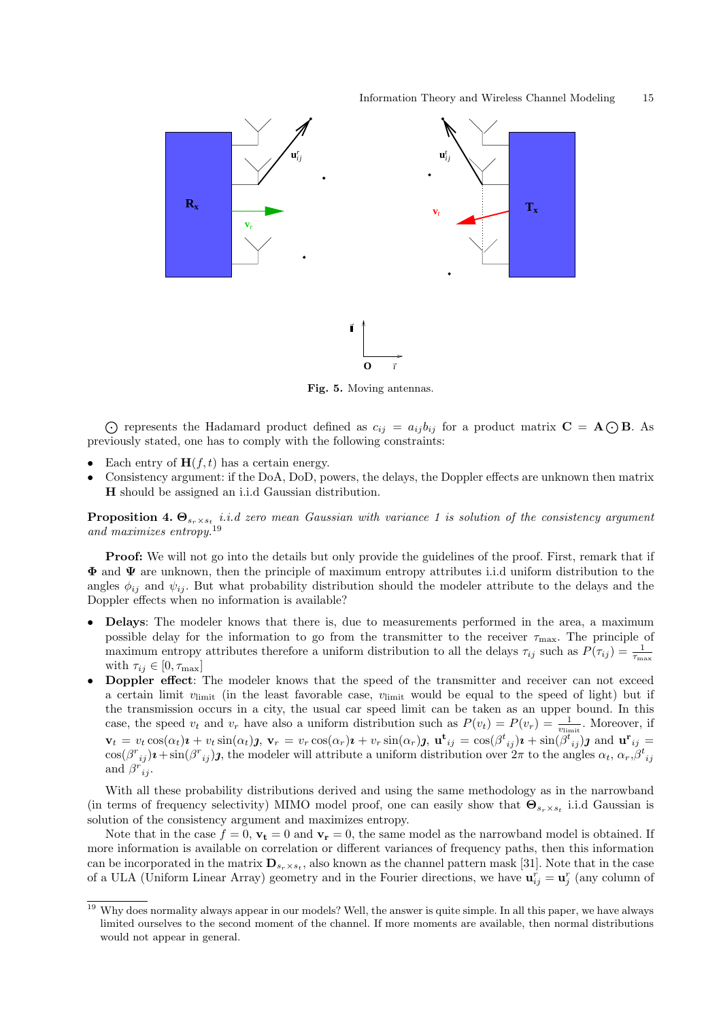

Fig. 5. Moving antennas.

 $\bigodot$  represents the Hadamard product defined as  $c_{ij} = a_{ij}b_{ij}$  for a product matrix  $\mathbf{C} = \mathbf{A} \bigodot \mathbf{B}$ . As previously stated, one has to comply with the following constraints:

- Each entry of  $H(f, t)$  has a certain energy.
- Consistency argument: if the DoA, DoD, powers, the delays, the Doppler effects are unknown then matrix H should be assigned an i.i.d Gaussian distribution.

**Proposition 4.**  $\Theta_{s_r \times s_t}$  *i.i.d zero mean Gaussian with variance 1 is solution of the consistency argument* and maximizes entropy.<sup>19</sup>

**Proof:** We will not go into the details but only provide the guidelines of the proof. First, remark that if  $\Phi$  and  $\Psi$  are unknown, then the principle of maximum entropy attributes i.i.d uniform distribution to the angles  $\phi_{ij}$  and  $\psi_{ij}$ . But what probability distribution should the modeler attribute to the delays and the Doppler effects when no information is available?

- Delays: The modeler knows that there is, due to measurements performed in the area, a maximum possible delay for the information to go from the transmitter to the receiver  $\tau_{\text{max}}$ . The principle of maximum entropy attributes therefore a uniform distribution to all the delays  $\tau_{ij}$  such as  $P(\tau_{ij}) = \frac{1}{\tau_{\text{max}}}$ with  $\tau_{ij} \in [0, \tau_{\text{max}}]$
- Doppler effect: The modeler knows that the speed of the transmitter and receiver can not exceed a certain limit  $v_{\text{limit}}$  (in the least favorable case,  $v_{\text{limit}}$  would be equal to the speed of light) but if the transmission occurs in a city, the usual car speed limit can be taken as an upper bound. In this case, the speed  $v_t$  and  $v_r$  have also a uniform distribution such as  $P(v_t) = P(v_r) = \frac{1}{v_{\text{limit}}}$ . Moreover, if  $\mathbf{v}_t = v_t \cos(\alpha_t) \mathbf{i} + v_t \sin(\alpha_t) \mathbf{j}, \ \mathbf{v}_r = v_r \cos(\alpha_r) \mathbf{i} + v_r \sin(\alpha_r) \mathbf{j}, \ \mathbf{u}^{\mathbf{t}}_{ij} = \cos(\beta^t_{ij}) \mathbf{i} + \sin(\beta^t_{ij}) \mathbf{j} \text{ and } \mathbf{u}^{\mathbf{r}}_{ij} =$  $\cos(\beta^{r}_{ij})\mathbf{i} + \sin(\beta^{r}_{ij})\mathbf{j}$ , the modeler will attribute a uniform distribution over  $2\pi$  to the angles  $\alpha_t$ ,  $\alpha_r$ ,  $\beta^{t}_{ij}$  and  $\beta^{r}_{ij}$ .

With all these probability distributions derived and using the same methodology as in the narrowband (in terms of frequency selectivity) MIMO model proof, one can easily show that  $\Theta_{s_r\times s_t}$  i.i.d Gaussian is solution of the consistency argument and maximizes entropy.

Note that in the case  $f = 0$ ,  $\mathbf{v_t} = 0$  and  $\mathbf{v_r} = 0$ , the same model as the narrowband model is obtained. If more information is available on correlation or different variances of frequency paths, then this information can be incorporated in the matrix  $\mathbf{D}_{s_r\times s_t}$ , also known as the channel pattern mask [31]. Note that in the case of a ULA (Uniform Linear Array) geometry and in the Fourier directions, we have  $\mathbf{u}_{ij}^r = \mathbf{u}_j^r$  (any column of

<sup>&</sup>lt;sup>19</sup> Why does normality always appear in our models? Well, the answer is quite simple. In all this paper, we have always limited ourselves to the second moment of the channel. If more moments are available, then normal distributions would not appear in general.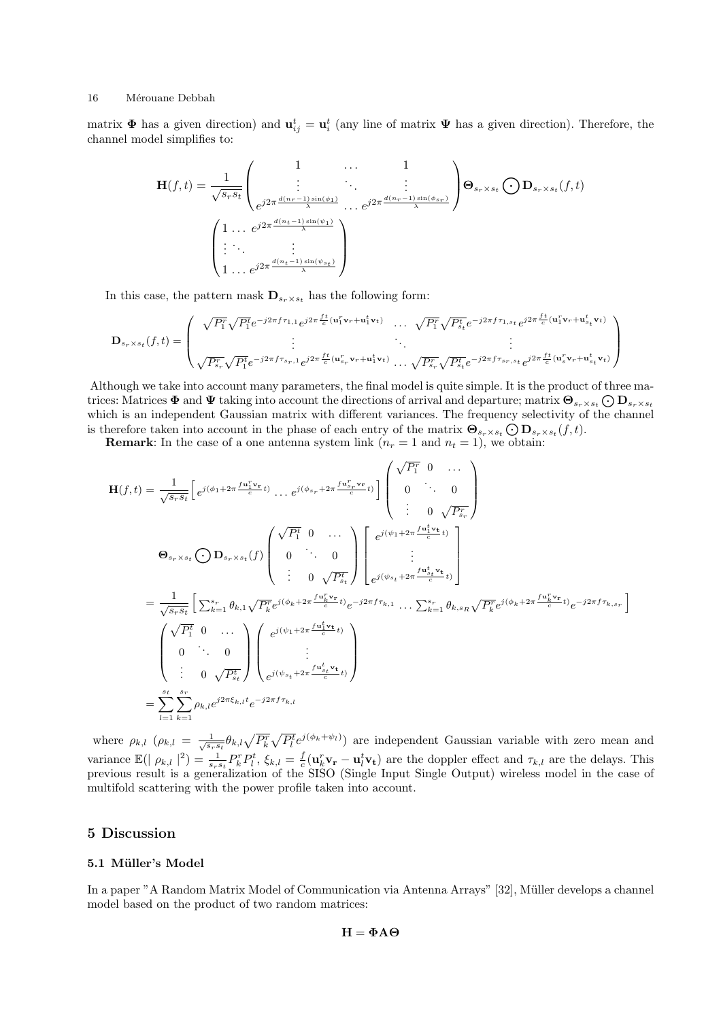matrix  $\Phi$  has a given direction) and  $\mathbf{u}_{ij}^t = \mathbf{u}_i^t$  (any line of matrix  $\Psi$  has a given direction). Therefore, the channel model simplifies to:

$$
\mathbf{H}(f,t) = \frac{1}{\sqrt{s_r s_t}} \begin{pmatrix} 1 & \cdots & 1 \\ \vdots & \ddots & \vdots \\ e^{j2\pi \frac{d(n_r-1)\sin(\phi_1)}{\lambda}} & \cdots & e^{j2\pi \frac{d(n_r-1)\sin(\phi_{s_r})}{\lambda}} \end{pmatrix} \mathbf{\Theta}_{s_r \times s_t} \bigodot \mathbf{D}_{s_r \times s_t}(f,t)
$$

$$
\begin{pmatrix} 1 & \cdots & e^{j2\pi \frac{d(n_t-1)\sin(\psi_1)}{\lambda}} \\ \vdots & \ddots & \vdots \\ 1 & \cdots & e^{j2\pi \frac{d(n_t-1)\sin(\psi_{s_t})}{\lambda}} \end{pmatrix}
$$

In this case, the pattern mask  $\mathbf{D}_{s_r \times s_t}$  has the following form:

$$
\mathbf{D}_{s_r \times s_t}(f,t) = \begin{pmatrix} \sqrt{P_1^r} \sqrt{P_1^t} e^{-j2\pi f \tau_{1,1}} e^{j2\pi \frac{ft}{c}(\mathbf{u}_1^r \mathbf{v}_r + \mathbf{u}_1^t \mathbf{v}_t)} & \cdots & \sqrt{P_1^r} \sqrt{P_{s_t}^t} e^{-j2\pi f \tau_{1,s_t}} e^{j2\pi \frac{ft}{c}(\mathbf{u}_1^r \mathbf{v}_r + \mathbf{u}_{s_t}^t \mathbf{v}_t)} \\ \vdots & \ddots & \vdots \\ \sqrt{P_{s_r}^r} \sqrt{P_1^t} e^{-j2\pi f \tau_{s_r,1}} e^{j2\pi \frac{ft}{c}(\mathbf{u}_{s_r}^r \mathbf{v}_r + \mathbf{u}_1^t \mathbf{v}_t)} & \cdots & \sqrt{P_{s_r}^r} \sqrt{P_{s_t}^t} e^{-j2\pi f \tau_{s_r,s_t}} e^{j2\pi \frac{ft}{c}(\mathbf{u}_s^r \mathbf{v}_r + \mathbf{u}_{s_t}^t \mathbf{v}_t)} \end{pmatrix}
$$

Although we take into account many parameters, the final model is quite simple. It is the product of three ma-Atthough we take mto account many parameters, the final model is quite simple. It is the product of three matrices: Matrices  $\Phi$  and  $\Psi$  taking into account the directions of arrival and departure; matrix  $\Theta_{s_r \times s_t} \bigcirc$ which is an independent Gaussian matrix with different variances. The frequency selectivity of the channel which is an independent Gaussian matrix with different variances. The requency selectivity on<br>is therefore taken into account in the phase of each entry of the matrix  $\Theta_{s_r\times s_t} \bigodot \mathbf{D}_{s_r\times s_t}(f,t)$ .

**Remark:** In the case of a one antenna system link  $(n_r = 1 \text{ and } n_t = 1)$ , we obtain:

$$
\mathbf{H}(f,t) = \frac{1}{\sqrt{s_{r}s_{t}}} \left[ e^{j(\phi_{1}+2\pi\frac{f\mathbf{u}_{1}^{T}\mathbf{v}_{\mathbf{r}}}{c}t)} \dots e^{j(\phi_{s_{r}}+2\pi\frac{f\mathbf{u}_{s_{r}}^{T}\mathbf{v}_{\mathbf{r}}}{c}t)} \right] \begin{pmatrix} \sqrt{P_{1}^{r}} & 0 & \cdots \\ 0 & \cdots & 0 \\ \vdots & 0 & \sqrt{P_{s_{r}}} \end{pmatrix}
$$

$$
\mathbf{\Theta}_{s_{r}\times s_{t}} \bigodot \mathbf{D}_{s_{r}\times s_{t}}(f) \begin{pmatrix} \sqrt{P_{1}^{t}} & 0 & \cdots \\ 0 & \cdots & 0 \\ \vdots & 0 & \sqrt{P_{s_{t}}^{t}} \end{pmatrix} \left[ e^{j(\psi_{1}+2\pi\frac{f\mathbf{u}_{1}^{t}\mathbf{v}_{\mathbf{t}}}{c}t)} \right]
$$

$$
= \frac{1}{\sqrt{s_{r}s_{t}}} \left[ \sum_{k=1}^{s_{r}} \theta_{k,1} \sqrt{P_{k}^{r}} e^{j(\phi_{k}+2\pi\frac{f\mathbf{u}_{k}^{r}\mathbf{v}_{\mathbf{r}}}{c}t)} e^{-j2\pi f\tau_{k,1}} \dots \sum_{k=1}^{s_{r}} \theta_{k,s_{R}} \sqrt{P_{k}^{r}} e^{j(\phi_{k}+2\pi\frac{f\mathbf{u}_{k}^{r}\mathbf{v}_{\mathbf{r}}}{c}t)} e^{-j2\pi f\tau_{k,s_{r}}} \right]
$$

$$
= \begin{pmatrix} \sqrt{P_{1}^{t}} & 0 & \cdots \\ 0 & \cdots & 0 \\ \vdots & 0 & \sqrt{P_{s_{t}}^{t}} \end{pmatrix} \begin{pmatrix} e^{j(\psi_{1}+2\pi\frac{f\mathbf{u}_{1}^{t}\mathbf{v}_{\mathbf{t}}}{c}t)} e^{-j2\pi f\tau_{k,1}} \\ e^{j(\psi_{s_{t}}+2\pi\frac{f\mathbf{u}_{s}^{t}\mathbf{v}_{\mathbf{t}}}{c}t)} \end{pmatrix}
$$

$$
= \sum_{l=1}^{s_{t}} \sum_{k=1}^{s_{r}} \rho_{k,l} e^{j2\pi \
$$

where  $\rho_{k,l}$   $(\rho_{k,l} = \frac{1}{\sqrt{s_r s_t}} \theta_{k,l} \sqrt{P_k^r}$  $\mathbb{R}^2$  $\overline{P_l^t}e^{j(\phi_k+\psi_l)}$  are independent Gaussian variable with zero mean and variance  $\mathbb{E}(|\rho_{k,l}|^2) = \frac{1}{s_r s_t} P_k^r P_l^t$ ,  $\xi_{k,l} = \frac{f}{c} (\mathbf{u}_k^r \mathbf{v}_r - \mathbf{u}_l^t \mathbf{v}_t)$  are the doppler effect and  $\tau_{k,l}$  are the delays. This previous result is a generalization of the SISO (Single Input Single Output) wireless model in the case of multifold scattering with the power profile taken into account.

## 5 Discussion

#### 5.1 Müller's Model

In a paper "A Random Matrix Model of Communication via Antenna Arrays" [32], Müller develops a channel model based on the product of two random matrices:

 $H = \Phi A \Theta$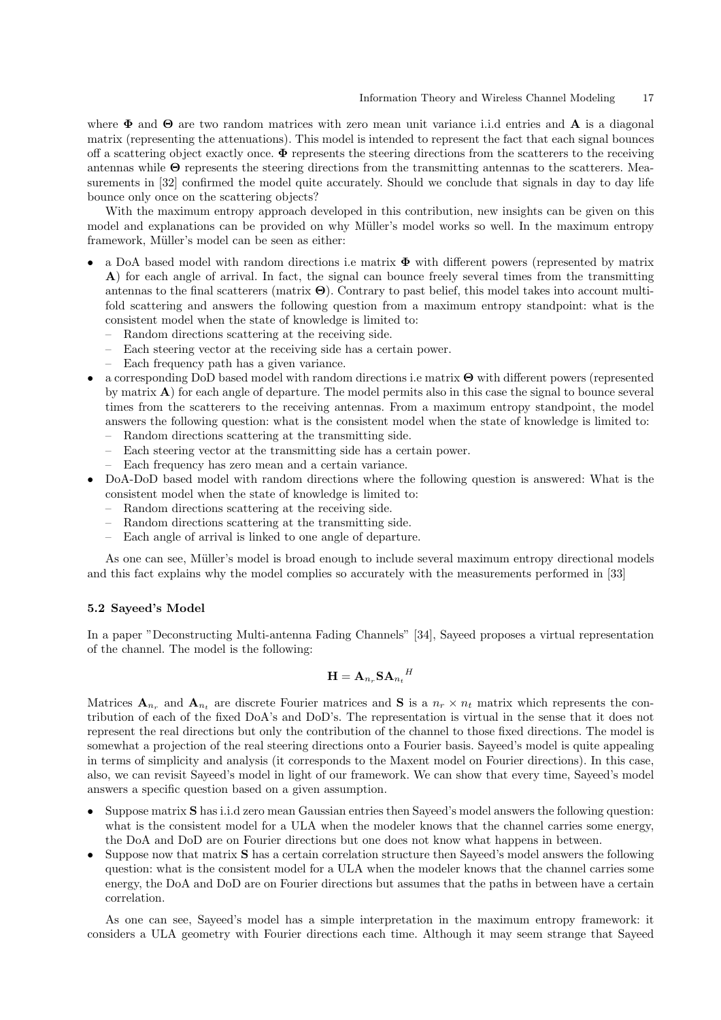where  $\Phi$  and  $\Theta$  are two random matrices with zero mean unit variance i.i.d entries and **A** is a diagonal matrix (representing the attenuations). This model is intended to represent the fact that each signal bounces off a scattering object exactly once.  $\Phi$  represents the steering directions from the scatterers to the receiving antennas while Θ represents the steering directions from the transmitting antennas to the scatterers. Measurements in [32] confirmed the model quite accurately. Should we conclude that signals in day to day life bounce only once on the scattering objects?

With the maximum entropy approach developed in this contribution, new insights can be given on this model and explanations can be provided on why Müller's model works so well. In the maximum entropy framework, Müller's model can be seen as either:

- a DoA based model with random directions i.e matrix  $\Phi$  with different powers (represented by matrix A) for each angle of arrival. In fact, the signal can bounce freely several times from the transmitting antennas to the final scatterers (matrix  $\Theta$ ). Contrary to past belief, this model takes into account multifold scattering and answers the following question from a maximum entropy standpoint: what is the consistent model when the state of knowledge is limited to:
	- Random directions scattering at the receiving side.
	- Each steering vector at the receiving side has a certain power.
	- Each frequency path has a given variance.
- a corresponding DoD based model with random directions i.e matrix Θ with different powers (represented by matrix A) for each angle of departure. The model permits also in this case the signal to bounce several times from the scatterers to the receiving antennas. From a maximum entropy standpoint, the model answers the following question: what is the consistent model when the state of knowledge is limited to:
	- Random directions scattering at the transmitting side.
	- Each steering vector at the transmitting side has a certain power.
	- Each frequency has zero mean and a certain variance.
- DoA-DoD based model with random directions where the following question is answered: What is the consistent model when the state of knowledge is limited to:
	- Random directions scattering at the receiving side.
	- Random directions scattering at the transmitting side.
	- Each angle of arrival is linked to one angle of departure.

As one can see, Müller's model is broad enough to include several maximum entropy directional models and this fact explains why the model complies so accurately with the measurements performed in [33]

#### 5.2 Sayeed's Model

In a paper "Deconstructing Multi-antenna Fading Channels" [34], Sayeed proposes a virtual representation of the channel. The model is the following:

$$
\mathbf{H} = \mathbf{A}_{n_r} \mathbf{S} \mathbf{A}_{n_t}{}^H
$$

Matrices  $A_{n_r}$  and  $A_{n_t}$  are discrete Fourier matrices and S is a  $n_r \times n_t$  matrix which represents the contribution of each of the fixed DoA's and DoD's. The representation is virtual in the sense that it does not represent the real directions but only the contribution of the channel to those fixed directions. The model is somewhat a projection of the real steering directions onto a Fourier basis. Sayeed's model is quite appealing in terms of simplicity and analysis (it corresponds to the Maxent model on Fourier directions). In this case, also, we can revisit Sayeed's model in light of our framework. We can show that every time, Sayeed's model answers a specific question based on a given assumption.

- Suppose matrix S has i.i.d zero mean Gaussian entries then Sayeed's model answers the following question: what is the consistent model for a ULA when the modeler knows that the channel carries some energy, the DoA and DoD are on Fourier directions but one does not know what happens in between.
- Suppose now that matrix S has a certain correlation structure then Sayeed's model answers the following question: what is the consistent model for a ULA when the modeler knows that the channel carries some energy, the DoA and DoD are on Fourier directions but assumes that the paths in between have a certain correlation.

As one can see, Sayeed's model has a simple interpretation in the maximum entropy framework: it considers a ULA geometry with Fourier directions each time. Although it may seem strange that Sayeed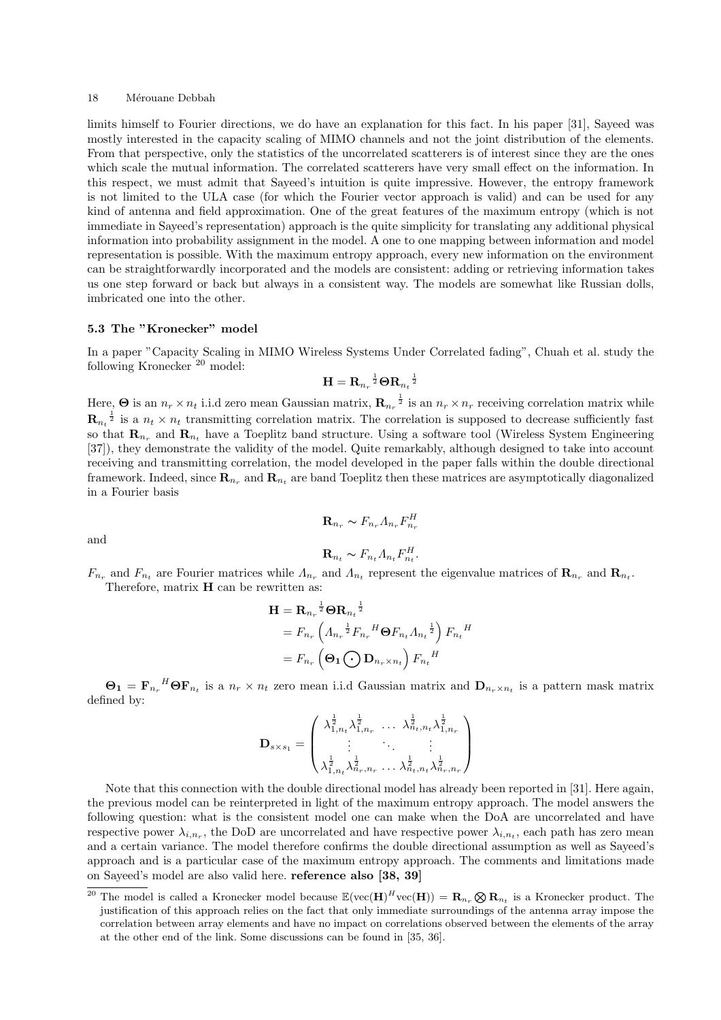limits himself to Fourier directions, we do have an explanation for this fact. In his paper [31], Sayeed was mostly interested in the capacity scaling of MIMO channels and not the joint distribution of the elements. From that perspective, only the statistics of the uncorrelated scatterers is of interest since they are the ones which scale the mutual information. The correlated scatterers have very small effect on the information. In this respect, we must admit that Sayeed's intuition is quite impressive. However, the entropy framework is not limited to the ULA case (for which the Fourier vector approach is valid) and can be used for any kind of antenna and field approximation. One of the great features of the maximum entropy (which is not immediate in Sayeed's representation) approach is the quite simplicity for translating any additional physical information into probability assignment in the model. A one to one mapping between information and model representation is possible. With the maximum entropy approach, every new information on the environment can be straightforwardly incorporated and the models are consistent: adding or retrieving information takes us one step forward or back but always in a consistent way. The models are somewhat like Russian dolls, imbricated one into the other.

#### 5.3 The "Kronecker" model

In a paper "Capacity Scaling in MIMO Wireless Systems Under Correlated fading", Chuah et al. study the following Kronecker <sup>20</sup> model:

$$
\mathbf{H} = \mathbf{R}_{n_r}^{-\frac{1}{2}} \boldsymbol\Theta \mathbf{R}_{n_t}^{-\frac{1}{2}}
$$

Here,  $\Theta$  is an  $n_r \times n_t$  i.i.d zero mean Gaussian matrix,  $\mathbf{R}_{n_r}^{-\frac{1}{2}}$  is an  $n_r \times n_r$  receiving correlation matrix while  $\mathbf{R}_{n_t}^{-\frac{1}{2}}$  is a  $n_t \times n_t$  transmitting correlation matrix. The correlation is supposed to decrease sufficiently fast so that  $\mathbf{R}_{n_r}$  and  $\mathbf{R}_{n_t}$  have a Toeplitz band structure. Using a software tool (Wireless System Engineering [37]), they demonstrate the validity of the model. Quite remarkably, although designed to take into account receiving and transmitting correlation, the model developed in the paper falls within the double directional framework. Indeed, since  $\mathbf{R}_{n_r}$  and  $\mathbf{R}_{n_t}$  are band Toeplitz then these matrices are asymptotically diagonalized in a Fourier basis

$$
\mathbf{R}_{n_r} \sim F_{n_r} A_{n_r} F_{n_r}^H
$$

and

$$
\mathbf{R}_{n_t} \sim F_{n_t} \Lambda_{n_t} F_{n_t}^H.
$$

 $F_{n_r}$  and  $F_{n_t}$  are Fourier matrices while  $\Lambda_{n_r}$  and  $\Lambda_{n_t}$  represent the eigenvalue matrices of  $\mathbf{R}_{n_r}$  and  $\mathbf{R}_{n_t}$ . Therefore, matrix  $H$  can be rewritten as:

$$
\mathbf{H} = \mathbf{R}_{n_r} \frac{1}{2} \mathbf{\Theta} \mathbf{R}_{n_t} \frac{1}{2}
$$
  
=  $F_{n_r} \left( A_{n_r} \frac{1}{2} F_{n_r} {}^H \mathbf{\Theta} F_{n_t} A_{n_t} \frac{1}{2} \right) F_{n_t} {}^H$   
=  $F_{n_r} \left( \mathbf{\Theta}_1 \bigodot \mathbf{D}_{n_r \times n_t} \right) F_{n_t} {}^H$ 

 $\Theta_1 = \mathbf{F}_{n_r}^H \mathbf{\Theta} \mathbf{F}_{n_t}$  is a  $n_r \times n_t$  zero mean i.i.d Gaussian matrix and  $\mathbf{D}_{n_r \times n_t}$  is a pattern mask matrix defined by:

$$
\mathbf{D}_{s \times s_1} = \begin{pmatrix} \lambda_{1,n_t}^{\frac{1}{2}} \lambda_{1,n_r}^{\frac{1}{2}} & \cdots & \lambda_{n_t,n_t}^{\frac{1}{2}} \lambda_{1,n_r}^{\frac{1}{2}} \\ \vdots & \ddots & \vdots \\ \lambda_{1,n_t}^{\frac{1}{2}} \lambda_{n_r,n_r}^{\frac{1}{2}} & \cdots & \lambda_{n_t,n_t}^{\frac{1}{2}} \lambda_{n_r,n_r}^{\frac{1}{2}} \end{pmatrix}
$$

Note that this connection with the double directional model has already been reported in [31]. Here again, the previous model can be reinterpreted in light of the maximum entropy approach. The model answers the following question: what is the consistent model one can make when the DoA are uncorrelated and have respective power  $\lambda_{i,n_r}$ , the DoD are uncorrelated and have respective power  $\lambda_{i,n_t}$ , each path has zero mean and a certain variance. The model therefore confirms the double directional assumption as well as Sayeed's approach and is a particular case of the maximum entropy approach. The comments and limitations made on Sayeed's model are also valid here. reference also [38, 39]

 $\overline{a_0^{\text{20}}}$  The model is called a Kronecker model because  $\mathbb{E}(\text{vec}(\mathbf{H})^H \text{vec}(\mathbf{H})) = \mathbf{R}_{n_r} \otimes \mathbf{R}_{n_t}$  is a Kronecker product. The justification of this approach relies on the fact that only immediate surroundings of the antenna array impose the correlation between array elements and have no impact on correlations observed between the elements of the array at the other end of the link. Some discussions can be found in [35, 36].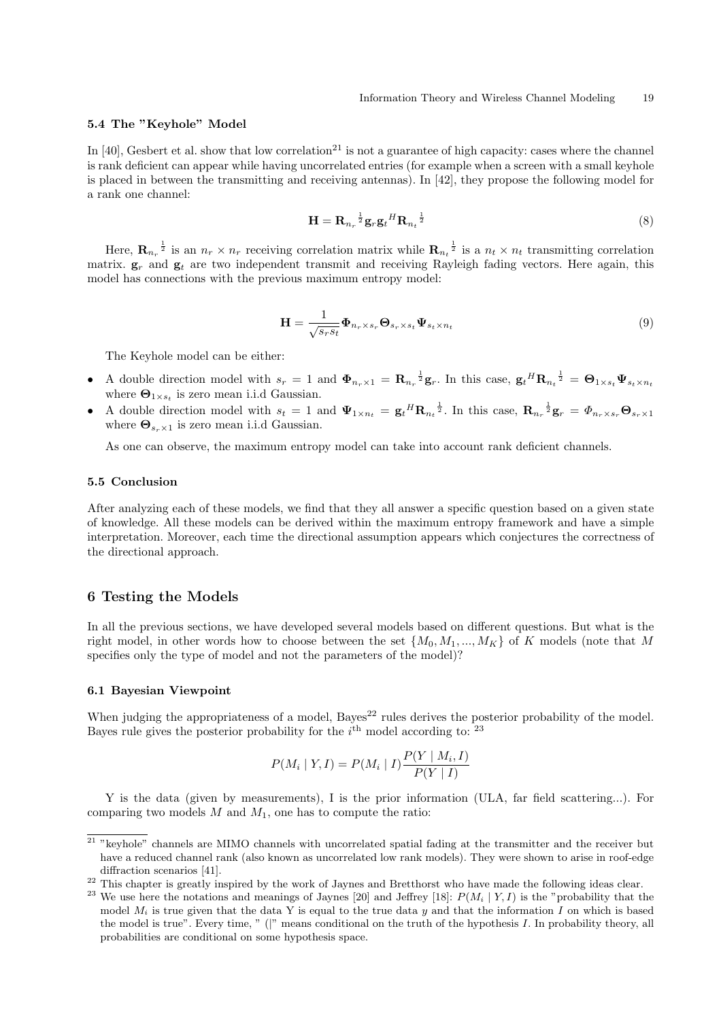#### 5.4 The "Keyhole" Model

In  $[40]$ , Gesbert et al. show that low correlation<sup>21</sup> is not a guarantee of high capacity: cases where the channel is rank deficient can appear while having uncorrelated entries (for example when a screen with a small keyhole is placed in between the transmitting and receiving antennas). In [42], they propose the following model for a rank one channel:

$$
\mathbf{H} = \mathbf{R}_{n_r}^{-\frac{1}{2}} \mathbf{g}_r \mathbf{g}_t^H \mathbf{R}_{n_t}^{-\frac{1}{2}} \tag{8}
$$

Here,  $\mathbf{R}_{n_r}^{-\frac{1}{2}}$  is an  $n_r \times n_r$  receiving correlation matrix while  $\mathbf{R}_{n_t}^{-\frac{1}{2}}$  is a  $n_t \times n_t$  transmitting correlation matrix.  $g_r$  and  $g_t$  are two independent transmit and receiving Rayleigh fading vectors. Here again, this model has connections with the previous maximum entropy model:

$$
\mathbf{H} = \frac{1}{\sqrt{s_r s_t}} \mathbf{\Phi}_{n_r \times s_r} \mathbf{\Theta}_{s_r \times s_t} \mathbf{\Psi}_{s_t \times n_t}
$$
(9)

The Keyhole model can be either:

- A double direction model with  $s_r = 1$  and  $\Phi_{n_r \times 1} = \mathbf{R}_{n_r}^{-\frac{1}{2}} \mathbf{g}_r$ . In this case,  $\mathbf{g}_t{}^H \mathbf{R}_{n_t}^{-\frac{1}{2}} = \mathbf{\Theta}_{1 \times s_t} \Psi_{s_t \times n_t}$ where  $\mathbf{\Theta}_{1\times s_t}$  is zero mean i.i.d Gaussian.
- A double direction model with  $s_t = 1$  and  $\Psi_{1 \times n_t} = g_t{}^H \mathbf{R}_{n_t}^{-\frac{1}{2}}$ . In this case,  $\mathbf{R}_{n_r}^{-\frac{1}{2}} \mathbf{g}_r = \Phi_{n_r \times s_r} \mathbf{\Theta}_{s_r \times 1}$ where  $\Theta_{s_r \times 1}$  is zero mean i.i.d Gaussian.

As one can observe, the maximum entropy model can take into account rank deficient channels.

#### 5.5 Conclusion

After analyzing each of these models, we find that they all answer a specific question based on a given state of knowledge. All these models can be derived within the maximum entropy framework and have a simple interpretation. Moreover, each time the directional assumption appears which conjectures the correctness of the directional approach.

## 6 Testing the Models

In all the previous sections, we have developed several models based on different questions. But what is the right model, in other words how to choose between the set  $\{M_0, M_1, ..., M_K\}$  of K models (note that M specifies only the type of model and not the parameters of the model)?

#### 6.1 Bayesian Viewpoint

When judging the appropriateness of a model,  $Bayes<sup>22</sup>$  rules derives the posterior probability of the model. Bayes rule gives the posterior probability for the  $i<sup>th</sup>$  model according to:  $23$ 

$$
P(M_i | Y, I) = P(M_i | I) \frac{P(Y | M_i, I)}{P(Y | I)}
$$

Y is the data (given by measurements), I is the prior information (ULA, far field scattering...). For comparing two models  $M$  and  $M_1$ , one has to compute the ratio:

 $\frac{21 \text{ w}}{21 \text{ w}}$  channels are MIMO channels with uncorrelated spatial fading at the transmitter and the receiver but have a reduced channel rank (also known as uncorrelated low rank models). They were shown to arise in roof-edge diffraction scenarios [41].

<sup>&</sup>lt;sup>22</sup> This chapter is greatly inspired by the work of Jaynes and Bretthorst who have made the following ideas clear.

<sup>&</sup>lt;sup>23</sup> We use here the notations and meanings of Jaynes [20] and Jeffrey [18]:  $P(M_i | Y, I)$  is the "probability that the model  $M_i$  is true given that the data Y is equal to the true data y and that the information I on which is based the model is true". Every time, " (|" means conditional on the truth of the hypothesis I. In probability theory, all probabilities are conditional on some hypothesis space.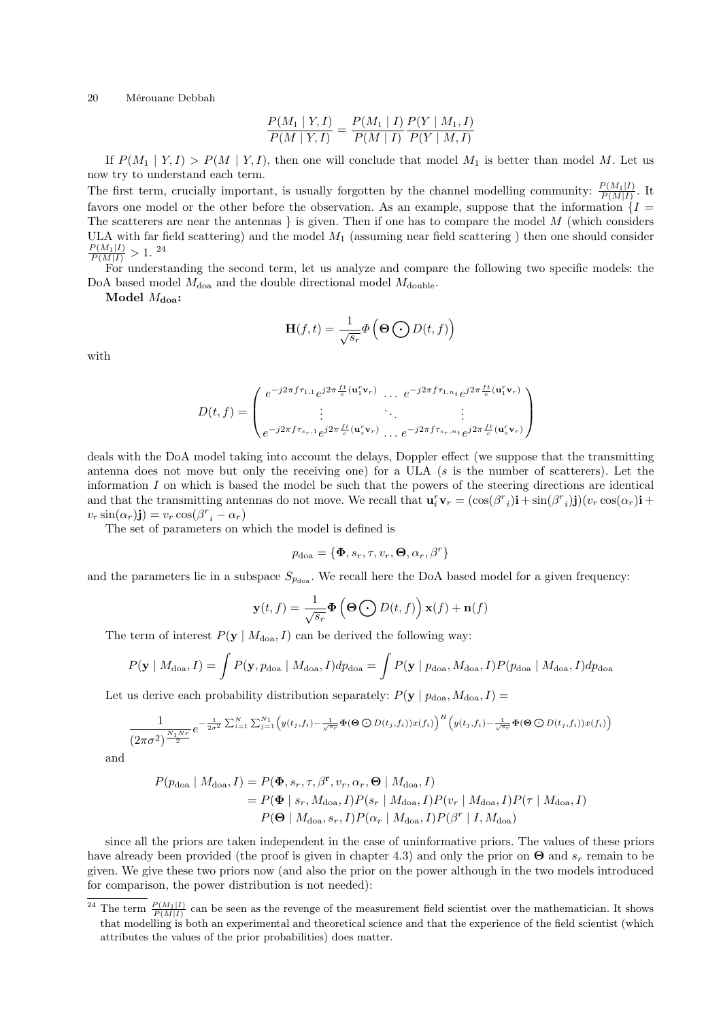$$
\frac{P(M_1 | Y, I)}{P(M | Y, I)} = \frac{P(M_1 | I)}{P(M | I)} \frac{P(Y | M_1, I)}{P(Y | M, I)}
$$

If  $P(M_1 | Y, I) > P(M | Y, I)$ , then one will conclude that model M<sub>1</sub> is better than model M. Let us now try to understand each term.

The first term, crucially important, is usually forgotten by the channel modelling community:  $\frac{P(M_1|I)}{P(M|I)}$ . It favors one model or the other before the observation. As an example, suppose that the information  $\{I =$ The scatterers are near the antennas  $\}$  is given. Then if one has to compare the model M (which considers ULA with far field scattering) and the model  $M_1$  (assuming near field scattering) then one should consider  $\frac{P(M_1|I)}{P(M|I)} > 1.$ <sup>24</sup>

For understanding the second term, let us analyze and compare the following two specific models: the DoA based model  $M_{\text{doa}}$  and the double directional model  $M_{\text{double}}$ .

Model  $M_{\rm doa}$ :

$$
\mathbf{H}(f,t)=\frac{1}{\sqrt{s_r}}\boldsymbol{\Phi}\left(\mathbf{\Theta}\bigodot D(t,f)\right)
$$

with

$$
D(t,f) = \begin{pmatrix} e^{-j2\pi f \tau_{1,1}} e^{j2\pi \frac{ft}{c}(\mathbf{u}_1^r \mathbf{v}_r)} & e^{-j2\pi f \tau_{1,n_t}} e^{j2\pi \frac{ft}{c}(\mathbf{u}_1^r \mathbf{v}_r)} \\ \vdots & \ddots & \vdots \\ e^{-j2\pi f \tau_{sr,1}} e^{j2\pi \frac{ft}{c}(\mathbf{u}_s^r \mathbf{v}_r)} & e^{-j2\pi f \tau_{sr,n_t}} e^{j2\pi \frac{ft}{c}(\mathbf{u}_s^r \mathbf{v}_r)} \end{pmatrix}
$$

deals with the DoA model taking into account the delays, Doppler effect (we suppose that the transmitting antenna does not move but only the receiving one) for a ULA (s is the number of scatterers). Let the information  $I$  on which is based the model be such that the powers of the steering directions are identical and that the transmitting antennas do not move. We recall that  $\mathbf{u}_i^r \mathbf{v}_r = (\cos(\beta^r_i)\mathbf{i} + \sin(\beta^r_i)\mathbf{j})(v_r \cos(\alpha_r)\mathbf{i} + \sin(\beta^r_i)\mathbf{j})$  $v_r \sin(\alpha_r)$ j) =  $v_r \cos(\beta^r - \alpha_r)$ 

The set of parameters on which the model is defined is

$$
p_{\rm doa} = \{\boldsymbol{\Phi}, s_r, \tau, v_r, \boldsymbol{\Theta}, \alpha_r, \beta^r\}
$$

and the parameters lie in a subspace  $S_{p_{\text{des}}}$ . We recall here the DoA based model for a given frequency:

$$
\mathbf{y}(t, f) = \frac{1}{\sqrt{s_r}} \mathbf{\Phi} \left( \mathbf{\Theta} \bigodot D(t, f) \right) \mathbf{x}(f) + \mathbf{n}(f)
$$

The term of interest  $P(y \mid M_{doa}, I)$  can be derived the following way:

$$
P(\mathbf{y} \mid M_{\text{doa}}, I) = \int P(\mathbf{y}, p_{\text{doa}} \mid M_{\text{doa}}, I) dp_{\text{doa}} = \int P(\mathbf{y} \mid p_{\text{doa}}, M_{\text{doa}}, I) P(p_{\text{doa}} \mid M_{\text{doa}}, I) dp_{\text{doa}}
$$

Let us derive each probability distribution separately:  $P(\mathbf{y} \mid p_{doa}, M_{doa}, I) =$ 

$$
\frac{1}{(2\pi\sigma^2)^{\frac{N_1Nr}{2}}}e^{-\frac{1}{2\sigma^2}\sum_{i=1}^N\sum_{j=1}^{N_1}\left(y(t_j,f_i)-\frac{1}{\sqrt{s_r}}\Phi(\Theta\bigodot D(t_j,f_i))x(f_i)\right)^H\left(y(t_j,f_i)-\frac{1}{\sqrt{s_r}}\Phi(\Theta\bigodot D(t_j,f_i))x(f_i)\right)}
$$

and

$$
P(p_{\text{doa}} | M_{\text{doa}}, I) = P(\mathbf{\Phi}, s_r, \tau, \beta^r, v_r, \alpha_r, \mathbf{\Theta} | M_{\text{doa}}, I)
$$
  
=  $P(\mathbf{\Phi} | s_r, M_{\text{doa}}, I)P(s_r | M_{\text{doa}}, I)P(v_r | M_{\text{doa}}, I)P(\tau | M_{\text{doa}}, I)$   
 $P(\mathbf{\Theta} | M_{\text{doa}}, s_r, I)P(\alpha_r | M_{\text{doa}}, I)P(\beta^r | I, M_{\text{doa}})$ 

since all the priors are taken independent in the case of uninformative priors. The values of these priors have already been provided (the proof is given in chapter 4.3) and only the prior on  $\Theta$  and  $s_r$  remain to be given. We give these two priors now (and also the prior on the power although in the two models introduced for comparison, the power distribution is not needed):

<sup>&</sup>lt;sup>24</sup> The term  $\frac{P(M_1|I)}{P(M|I)}$  can be seen as the revenge of the measurement field scientist over the mathematician. It shows that modelling is both an experimental and theoretical science and that the experience of the field scientist (which attributes the values of the prior probabilities) does matter.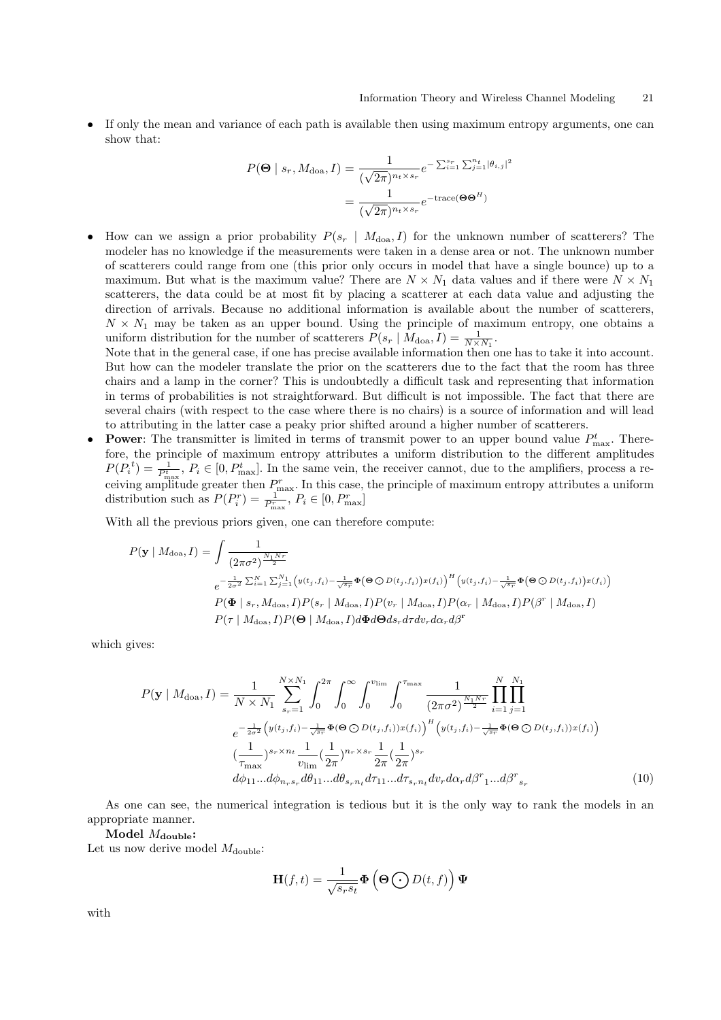• If only the mean and variance of each path is available then using maximum entropy arguments, one can show that:

$$
P(\mathbf{\Theta} \mid s_r, M_{\text{doa}}, I) = \frac{1}{(\sqrt{2\pi})^{n_t \times s_r}} e^{-\sum_{i=1}^{s_r} \sum_{j=1}^{n_t} |\theta_{i,j}|^2}
$$

$$
= \frac{1}{(\sqrt{2\pi})^{n_t \times s_r}} e^{-\text{trace}(\mathbf{\Theta} \mathbf{\Theta}^H)}
$$

How can we assign a prior probability  $P(s_r \mid M_{doa}, I)$  for the unknown number of scatterers? The modeler has no knowledge if the measurements were taken in a dense area or not. The unknown number of scatterers could range from one (this prior only occurs in model that have a single bounce) up to a maximum. But what is the maximum value? There are  $N \times N_1$  data values and if there were  $N \times N_1$ scatterers, the data could be at most fit by placing a scatterer at each data value and adjusting the direction of arrivals. Because no additional information is available about the number of scatterers,  $N \times N_1$  may be taken as an upper bound. Using the principle of maximum entropy, one obtains a uniform distribution for the number of scatterers  $P(s_r | M_{doa}, I) = \frac{1}{N \times N_1}$ .

Note that in the general case, if one has precise available information then one has to take it into account. But how can the modeler translate the prior on the scatterers due to the fact that the room has three chairs and a lamp in the corner? This is undoubtedly a difficult task and representing that information in terms of probabilities is not straightforward. But difficult is not impossible. The fact that there are several chairs (with respect to the case where there is no chairs) is a source of information and will lead to attributing in the latter case a peaky prior shifted around a higher number of scatterers.

• Power: The transmitter is limited in terms of transmit power to an upper bound value  $P_{\text{max}}^t$ . Therefore, the principle of maximum entropy attributes a uniform distribution to the different amplitudes  $P(P_i^t) = \frac{1}{P_{\text{max}}^t}$ ,  $P_i \in [0, P_{\text{max}}^t]$ . In the same vein, the receiver cannot, due to the amplifiers, process a receiving amplitude greater then  $P_{\text{max}}^r$ . In this case, the principle of maximum entropy attributes a uniform distribution such as  $P(P_i^r) = \frac{1}{P_{\text{max}}^r}, P_i \in [0, P_{\text{max}}^r]$ 

With all the previous priors given, one can therefore compute:

$$
P(\mathbf{y} \mid M_{\text{doa}}, I) = \int \frac{1}{(2\pi\sigma^2)^{\frac{N_1 N r}{2}}}
$$
  
\n
$$
e^{-\frac{1}{2\sigma^2} \sum_{i=1}^{N} \sum_{j=1}^{N_1} \left(y(t_j, f_i) - \frac{1}{\sqrt{s_r}} \Phi(\Theta \bigcirc D(t_j, f_i)) x(f_i)\right)^H \left(y(t_j, f_i) - \frac{1}{\sqrt{s_r}} \Phi(\Theta \bigcirc D(t_j, f_i)) x(f_i)\right)}
$$
  
\n
$$
P(\Phi \mid s_r, M_{\text{doa}}, I) P(s_r \mid M_{\text{doa}}, I) P(v_r \mid M_{\text{doa}}, I) P(\alpha_r \mid M_{\text{doa}}, I) P(\beta^r \mid M_{\text{doa}}, I)
$$
  
\n
$$
P(\tau \mid M_{\text{doa}}, I) P(\Theta \mid M_{\text{doa}}, I) d\Phi d\Theta ds_r d\tau dv_r d\alpha_r d\beta^r
$$

which gives:

$$
P(\mathbf{y} \mid M_{\text{doa}}, I) = \frac{1}{N \times N_1} \sum_{s_r=1}^{N \times N_1} \int_0^{2\pi} \int_0^{\infty} \int_0^{v_{\text{lim}}} \int_0^{\tau_{\text{max}}} \frac{1}{(2\pi\sigma^2)^{\frac{N_1 N_r}{2}}} \prod_{i=1}^N \prod_{j=1}^{N} \\ e^{-\frac{1}{2\sigma^2} \left( y(t_j, f_i) - \frac{1}{\sqrt{s_r}} \Phi(\Theta \bigcirc D(t_j, f_i)) x(f_i) \right)^H \left( y(t_j, f_i) - \frac{1}{\sqrt{s_r}} \Phi(\Theta \bigcirc D(t_j, f_i)) x(f_i) \right)} \\ \frac{1}{\tau_{\text{max}}} \sum_{v_{\text{lim}}}^{s_r \times n_t} \frac{1}{v_{\text{lim}}} (\frac{1}{2\pi})^{n_r \times s_r} \frac{1}{2\pi} (\frac{1}{2\pi})^{s_r} \\ d\phi_{11} \dots d\phi_{n_r s_r} d\theta_{11} \dots d\theta_{s_r n_t} d\tau_{11} \dots d\tau_{s_r n_t} dv_r d\alpha_r d\beta^r_{1} \dots d\beta^r_{s_r}
$$
(10)

As one can see, the numerical integration is tedious but it is the only way to rank the models in an appropriate manner.

Model  $M_{\text{double}}$ :

Let us now derive model  $M_{\text{double}}$ :

$$
\mathbf{H}(f,t) = \frac{1}{\sqrt{s_r s_t}} \mathbf{\Phi} \left( \mathbf{\Theta} \bigodot D(t,f) \right) \mathbf{\Psi}
$$

with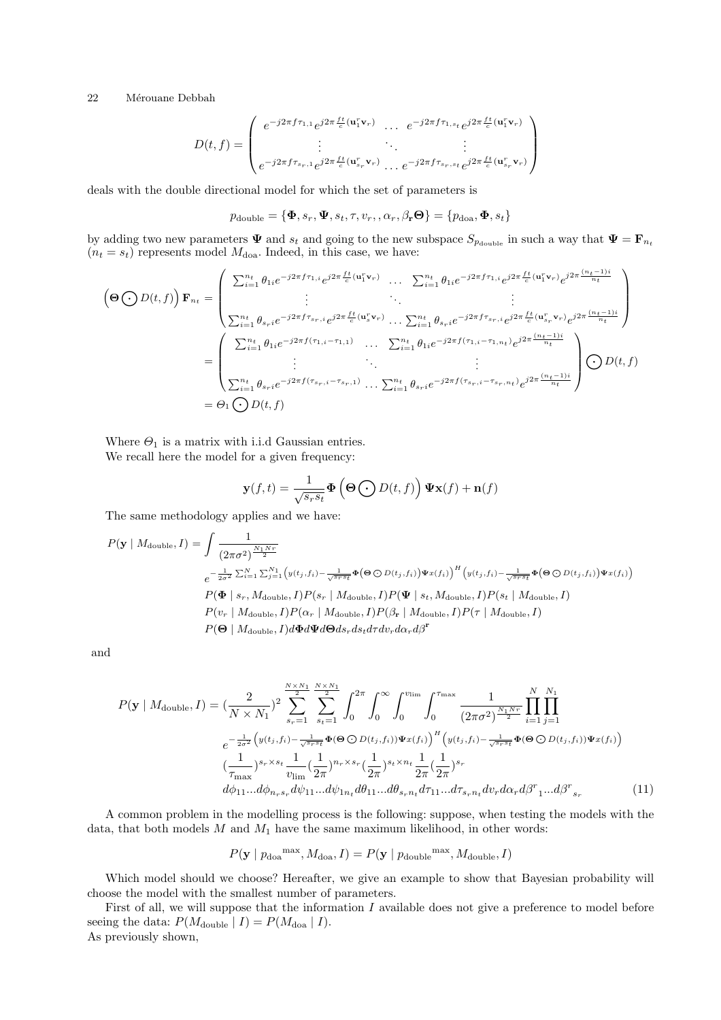$$
D(t,f) = \begin{pmatrix} e^{-j2\pi f \tau_{1,1}} e^{j2\pi \frac{ft}{c}(\mathbf{u}_1^r \mathbf{v}_r)} & \cdots & e^{-j2\pi f \tau_{1,s_t}} e^{j2\pi \frac{ft}{c}(\mathbf{u}_1^r \mathbf{v}_r)} \\ \vdots & \ddots & \vdots \\ e^{-j2\pi f \tau_{s_r,1}} e^{j2\pi \frac{ft}{c}(\mathbf{u}_{s_r}^r \mathbf{v}_r)} & \cdots & e^{-j2\pi f \tau_{s_r,s_t}} e^{j2\pi \frac{ft}{c}(\mathbf{u}_{s_r}^r \mathbf{v}_r)} \end{pmatrix}
$$

deals with the double directional model for which the set of parameters is

$$
p_{\text{double}} = {\boldsymbol{\Phi}, s_r, \boldsymbol{\Psi}, s_t, \tau, v_r, \alpha_r, \beta_{\mathbf{r}} \boldsymbol{\Theta}} = {p_{\text{doa}}, \boldsymbol{\Phi}, s_t}
$$

by adding two new parameters  $\Psi$  and  $s_t$  and going to the new subspace  $S_{p_{\text{double}}}$  in such a way that  $\Psi = \mathbf{F}_{n_t}$  $(n_t = s_t)$  represents model  $M_{\text{doa}}$ . Indeed, in this case, we have:

$$
\begin{split}\n\left(\mathbf{\Theta}\bigodot D(t,f)\right)\mathbf{F}_{n_{t}} &= \begin{pmatrix}\n\sum_{i=1}^{n_{t}}\theta_{1i}e^{-j2\pi f\tau_{1,i}}e^{j2\pi\frac{ft}{c}(\mathbf{u}_{1}^{T}\mathbf{v}_{r})} & \dots & \sum_{i=1}^{n_{t}}\theta_{1i}e^{-j2\pi f\tau_{1,i}}e^{j2\pi\frac{ft}{c}(\mathbf{u}_{1}^{T}\mathbf{v}_{r})}e^{j2\pi\frac{(n_{t}-1)i}{n_{t}}}\n\end{pmatrix} \\
&= \begin{pmatrix}\n\sum_{i=1}^{n_{t}}\theta_{s_{r}i}e^{-j2\pi f\tau_{s_{r},i}}e^{j2\pi\frac{ft}{c}(\mathbf{u}_{s}^{T}\mathbf{v}_{r})} & \dots & \sum_{i=1}^{n_{t}}\theta_{s_{r}i}e^{-j2\pi f\tau_{s_{r},i}}e^{j2\pi\frac{ft}{c}(\mathbf{u}_{s_{r}}^{T}\mathbf{v}_{r})}e^{j2\pi\frac{(n_{t}-1)i}{n_{t}}}\n\end{pmatrix} \\
&= \begin{pmatrix}\n\sum_{i=1}^{n_{t}}\theta_{1i}e^{-j2\pi f(\tau_{1,i}-\tau_{1,1})} & \dots & \sum_{i=1}^{n_{t}}\theta_{1i}e^{-j2\pi f(\tau_{1,i}-\tau_{1,n_{t}})}e^{j2\pi\frac{(n_{t}-1)i}{n_{t}}}\n\end{pmatrix} \\
&= \begin{pmatrix}\n\sum_{i=1}^{n_{t}}\theta_{1i}e^{-j2\pi f(\tau_{s_{r},i}-\tau_{s_{r},1})} & \dots & \sum_{i=1}^{n_{t}}\theta_{s_{r}i}e^{-j2\pi f(\tau_{s_{r},i}-\tau_{s_{r},n_{t}})}e^{j2\pi\frac{(n_{t}-1)i}{n_{t}}}\n\end{pmatrix} \\
&= \Theta_{1}\bigodot D(t,f) \\
&= \Theta_{1}\bigodot D(t,f)\n\end{split}
$$

Where  $\Theta_1$  is a matrix with i.i.d Gaussian entries. We recall here the model for a given frequency:

$$
\mathbf{y}(f,t) = \frac{1}{\sqrt{s_r s_t}} \mathbf{\Phi}\left(\mathbf{\Theta}\bigodot D(t,f)\right) \mathbf{\Psi}\mathbf{x}(f) + \mathbf{n}(f)
$$

The same methodology applies and we have:

$$
P(\mathbf{y} \mid M_{\text{double}}, I) = \int \frac{1}{(2\pi\sigma^2)^{\frac{N_1 N_r}{2}}} \\
\frac{e^{-\frac{1}{2\sigma^2} \sum_{i=1}^{N} \sum_{j=1}^{N_1} \left(y(t_j, f_i) - \frac{1}{\sqrt{s_r s_t}} \Phi(\Theta \bigcirc D(t_j, f_i)) \Psi x(f_i)\right)^H \left(y(t_j, f_i) - \frac{1}{\sqrt{s_r s_t}} \Phi(\Theta \bigcirc D(t_j, f_i)) \Psi x(f_i)\right)}}{P(\Phi \mid s_r, M_{\text{double}}, I) P(s_r \mid M_{\text{double}}, I) P(\Psi \mid s_t, M_{\text{double}}, I) P(s_t \mid M_{\text{double}}, I)}
$$
\n
$$
P(v_r \mid M_{\text{double}}, I) P(\alpha_r \mid M_{\text{double}}, I) P(\beta_r \mid M_{\text{double}}, I) P(\tau \mid M_{\text{double}}, I)
$$
\n
$$
P(\Theta \mid M_{\text{double}}, I) d\Phi d\Psi d\Theta ds_r ds_t d\tau dv_r d\alpha_r d\beta^r
$$

and

$$
P(\mathbf{y} \mid M_{\text{double}}, I) = \left(\frac{2}{N \times N_{1}}\right)^{2} \sum_{s_{r}=1}^{\frac{N \times N_{1}}{2}} \sum_{s_{t}=1}^{\frac{N \times N_{1}}{2}} \int_{0}^{2\pi} \int_{0}^{\infty} \int_{0}^{v_{\text{lim}}} \int_{0}^{\tau_{\text{max}}} \frac{1}{(2\pi\sigma^{2})^{\frac{N_{1}N_{r}}{2}}} \prod_{i=1}^{N} \prod_{j=1}^{N_{1}}
$$

$$
e^{-\frac{1}{2\sigma^{2}}\left(y(t_{j}, f_{i}) - \frac{1}{\sqrt{s_{r}s_{t}}}\Phi(\Theta \bigcirc D(t_{j}, f_{i}))\Psi x(f_{i})\right)^{H}\left(y(t_{j}, f_{i}) - \frac{1}{\sqrt{s_{r}s_{t}}}\Phi(\Theta \bigcirc D(t_{j}, f_{i}))\Psi x(f_{i})\right)}{\left(\frac{1}{\tau_{\text{max}}}\right)^{s_{r} \times s_{t}} \frac{1}{v_{\text{lim}}}\left(\frac{1}{2\pi}\right)^{n_{r} \times s_{r}}\left(\frac{1}{2\pi}\right)^{s_{t} \times n_{t}} \frac{1}{2\pi}\left(\frac{1}{2\pi}\right)^{s_{r}}}
$$

$$
d\phi_{11}...\,d\phi_{n_{r}s_{r}}d\psi_{11}...\,d\psi_{1n_{t}}d\theta_{11}...\,d\theta_{s_{r}n_{t}}d\tau_{11}...\,d\tau_{s_{r}n_{t}}dv_{r}d\alpha_{r}d\beta^{r}_{1}...\,d\beta^{r}_{s_{r}} \tag{11}
$$

A common problem in the modelling process is the following: suppose, when testing the models with the data, that both models  $M$  and  $M_1$  have the same maximum likelihood, in other words:

$$
P(\mathbf{y} \mid p_{\rm doa}{}^{\rm max}, M_{\rm doa}, I) = P(\mathbf{y} \mid p_{\rm double}{}^{\rm max}, M_{\rm double}, I)
$$

Which model should we choose? Hereafter, we give an example to show that Bayesian probability will choose the model with the smallest number of parameters.

First of all, we will suppose that the information  $I$  available does not give a preference to model before seeing the data:  $P(M_{\text{double}} | I) = P(M_{\text{doa}} | I)$ . As previously shown,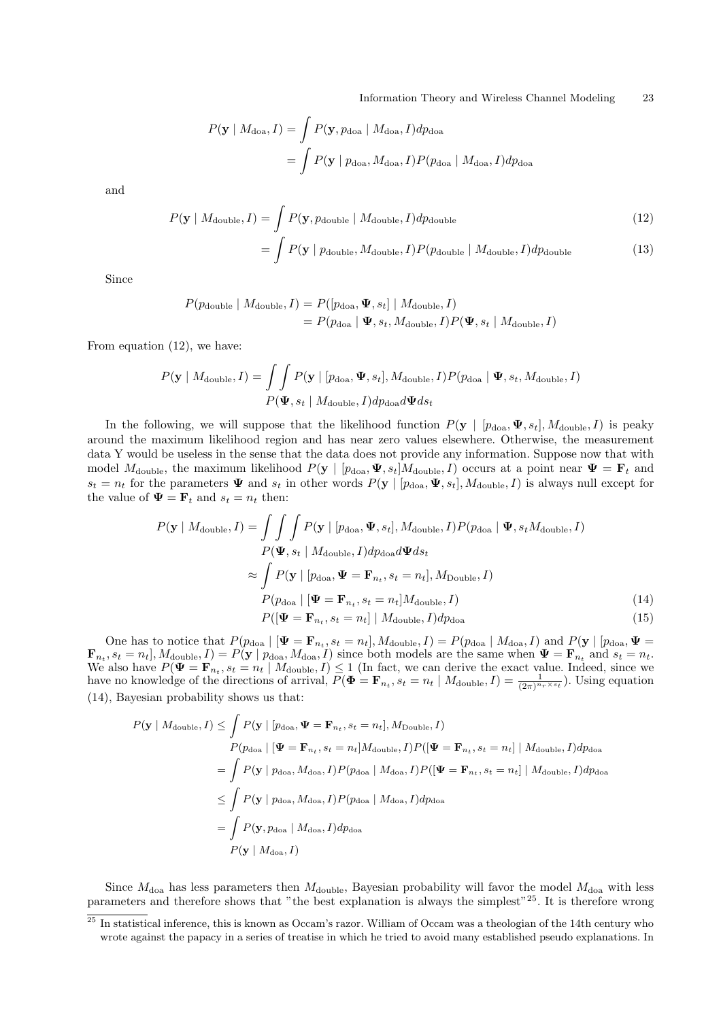$$
P(\mathbf{y} \mid M_{\text{doa}}, I) = \int P(\mathbf{y}, p_{\text{doa}} \mid M_{\text{doa}}, I) dp_{\text{doa}}
$$
  
= 
$$
\int P(\mathbf{y} \mid p_{\text{doa}}, M_{\text{doa}}, I) P(p_{\text{doa}} \mid M_{\text{doa}}, I) dp_{\text{doa}}
$$

and

$$
P(\mathbf{y} \mid M_{\text{double}}, I) = \int P(\mathbf{y}, p_{\text{double}} \mid M_{\text{double}}, I) dp_{\text{double}}
$$
\n
$$
= \int P(\mathbf{y} \mid p_{\text{double}}, M_{\text{double}}, I) P(p_{\text{double}} \mid M_{\text{double}}, I) dp_{\text{double}}
$$
\n(13)

Since

$$
P(p_{\text{double}} \mid M_{\text{double}}, I) = P([p_{\text{doa}}, \Psi, s_t] \mid M_{\text{double}}, I)
$$
  
=  $P(p_{\text{doa}} \mid \Psi, s_t, M_{\text{double}}, I) P(\Psi, s_t \mid M_{\text{double}}, I)$ 

From equation (12), we have:

$$
P(\mathbf{y} \mid M_{\text{double}}, I) = \iint P(\mathbf{y} \mid [p_{\text{doa}}, \Psi, s_t], M_{\text{double}}, I) P(p_{\text{doa}} \mid \Psi, s_t, M_{\text{double}}, I)
$$

$$
P(\Psi, s_t \mid M_{\text{double}}, I) dp_{\text{doa}} d\Psi ds_t
$$

In the following, we will suppose that the likelihood function  $P(\mathbf{y} \mid [p_{doa}, \Psi, s_t], M_{double}, I)$  is peaky around the maximum likelihood region and has near zero values elsewhere. Otherwise, the measurement data Y would be useless in the sense that the data does not provide any information. Suppose now that with model  $M_{\text{double}}$ , the maximum likelihood  $P(\mathbf{y} \mid [p_{\text{doa}}, \Psi, s_t]M_{\text{double}}, I)$  occurs at a point near  $\Psi = \mathbf{F}_t$  and  $s_t = n_t$  for the parameters  $\Psi$  and  $s_t$  in other words  $P(\mathbf{y} \mid [p_{doa}, \Psi, s_t], M_{double}, I)$  is always null except for the value of  $\mathbf{\Psi} = \mathbf{F}_t$  and  $s_t = n_t$  then:

$$
P(\mathbf{y} \mid M_{\text{double}}, I) = \int \int \int P(\mathbf{y} \mid [p_{\text{doa}}, \Psi, s_t], M_{\text{double}}, I) P(p_{\text{doa}} \mid \Psi, s_t M_{\text{double}}, I)
$$
  
\n
$$
P(\Psi, s_t \mid M_{\text{double}}, I) dp_{\text{doa}} d\Psi ds_t
$$
  
\n
$$
\approx \int P(\mathbf{y} \mid [p_{\text{doa}}, \Psi = \mathbf{F}_{n_t}, s_t = n_t], M_{\text{Double}}, I)
$$
  
\n
$$
P(p_{\text{doa}} \mid [\Psi = \mathbf{F}_{n_t}, s_t = n_t] M_{\text{double}}, I)
$$
  
\n
$$
P([\Psi = \mathbf{F}_{n_t}, s_t = n_t] \mid M_{\text{double}}, I) dp_{\text{doa}}
$$
\n(15)

One has to notice that  $P(p_{\text{doa}} | [\Psi = \mathbf{F}_{n_t}, s_t = n_t], M_{\text{double}}, I) = P(p_{\text{doa}} | M_{\text{doa}}, I)$  and  $P(\mathbf{y} | [p_{\text{doa}}, \Psi =$  $\mathbf{F}_{n_t}$ ,  $s_t = n_t$ ,  $M_{\text{double}}$ ,  $I$ ) =  $P(\mathbf{y} \mid p_{\text{doa}}$ ,  $M_{\text{doa}}$ ,  $I$ ) since both models are the same when  $\Psi = \mathbf{F}_{n_t}$  and  $s_t = n_t$ . We also have  $P(\Psi = \mathbf{F}_{n_t}, s_t = n_t \mid M_{\text{double}}, I) \leq 1$  (In fact, we can derive the exact value. Indeed, since we have no knowledge of the directions of arrival,  $P(\mathbf{\Phi} = \mathbf{F}_{n_t}, s_t = n_t | M_{\text{double}}, I) = \frac{1}{(2\pi)^{n_r \times s_t}}$ . Using equation (14), Bayesian probability shows us that:

$$
P(\mathbf{y} \mid M_{\text{double}}, I) \leq \int P(\mathbf{y} \mid [p_{\text{doa}}, \Psi = \mathbf{F}_{n_t}, s_t = n_t], M_{\text{Double}}, I)
$$
  
\n
$$
P(p_{\text{doa}} \mid [\Psi = \mathbf{F}_{n_t}, s_t = n_t] M_{\text{double}}, I) P([\Psi = \mathbf{F}_{n_t}, s_t = n_t] \mid M_{\text{double}}, I) dp_{\text{doa}}
$$
  
\n
$$
= \int P(\mathbf{y} \mid p_{\text{doa}}, M_{\text{doa}}, I) P(p_{\text{doa}} \mid M_{\text{doa}}, I) P([\Psi = \mathbf{F}_{n_t}, s_t = n_t] \mid M_{\text{double}}, I) dp_{\text{doa}}
$$
  
\n
$$
\leq \int P(\mathbf{y} \mid p_{\text{doa}}, M_{\text{doa}}, I) P(p_{\text{doa}} \mid M_{\text{doa}}, I) dp_{\text{doa}}
$$
  
\n
$$
= \int P(\mathbf{y}, p_{\text{doa}} \mid M_{\text{doa}}, I) dp_{\text{doa}}
$$
  
\n
$$
P(\mathbf{y} \mid M_{\text{doa}}, I)
$$

Since  $M_{\text{doa}}$  has less parameters then  $M_{\text{double}}$ , Bayesian probability will favor the model  $M_{\text{doa}}$  with less parameters and therefore shows that "the best explanation is always the simplest"<sup>25</sup>. It is therefore wrong

 $\frac{25 \text{ In statistical inference, this is known as Occam's razor. William of Occam was a theologian of the 14th century who}$ wrote against the papacy in a series of treatise in which he tried to avoid many established pseudo explanations. In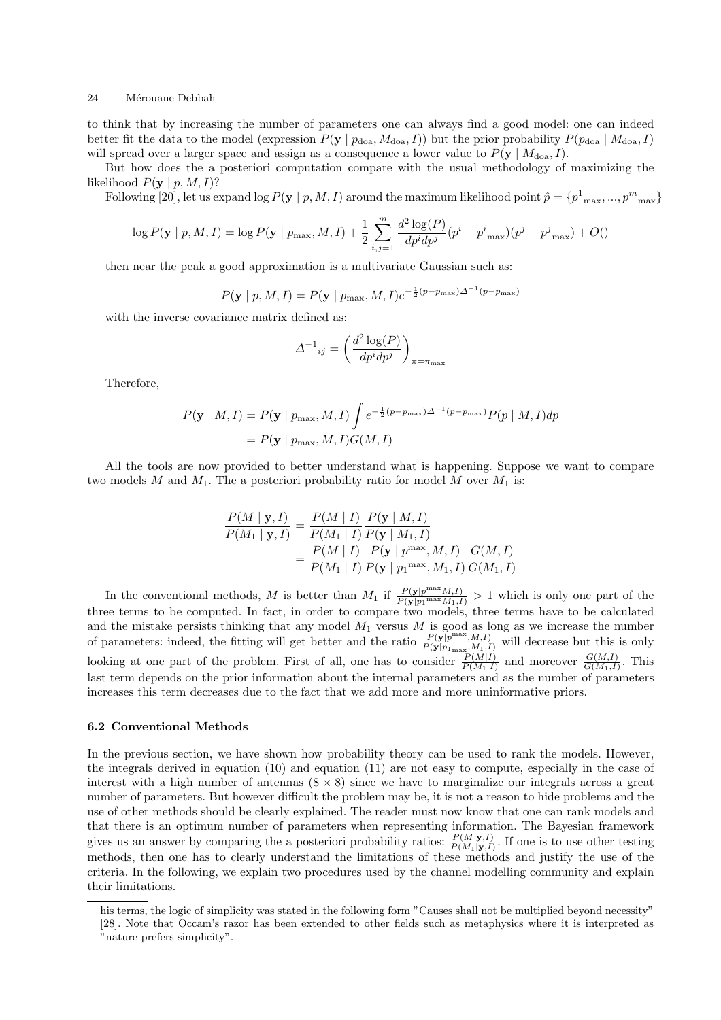to think that by increasing the number of parameters one can always find a good model: one can indeed better fit the data to the model (expression  $P(\mathbf{y} | p_{\text{doa}}, M_{\text{doa}}, I)$ ) but the prior probability  $P(p_{\text{doa}} | M_{\text{doa}}, I)$ will spread over a larger space and assign as a consequence a lower value to  $P(\mathbf{y} \mid M_{\text{doa}}, I)$ .

But how does the a posteriori computation compare with the usual methodology of maximizing the likelihood  $P(\mathbf{v} \mid p, M, I)$ ?

Following [20], let us expand  $\log P(\mathbf{y} \mid p, M, I)$  around the maximum likelihood point  $\hat{p} = \{p^1_{max}, ..., p^m_{max}\}\$ 

$$
\log P(\mathbf{y} \mid p, M, I) = \log P(\mathbf{y} \mid p_{\max}, M, I) + \frac{1}{2} \sum_{i,j=1}^{m} \frac{d^2 \log(P)}{dp^i dp^j} (p^i - p^i_{\max})(p^j - p^j_{\max}) + O(\mathbf{1})
$$

then near the peak a good approximation is a multivariate Gaussian such as:

$$
P(\mathbf{y} \mid p, M, I) = P(\mathbf{y} \mid p_{\max}, M, I)e^{-\frac{1}{2}(p-p_{\max})\Delta^{-1}(p-p_{\max})}
$$

with the inverse covariance matrix defined as:

$$
{\displaystyle \Delta^{-1}}_{ij} = \left(\frac{d^2 \log(P)}{d p^i d p^j}\right)_{\pi = \pi_{\max}}
$$

Therefore,

$$
P(\mathbf{y} \mid M, I) = P(\mathbf{y} \mid p_{\max}, M, I) \int e^{-\frac{1}{2}(p - p_{\max})\Delta^{-1}(p - p_{\max})} P(p \mid M, I) dp
$$
  
=  $P(\mathbf{y} \mid p_{\max}, M, I) G(M, I)$ 

All the tools are now provided to better understand what is happening. Suppose we want to compare two models M and  $M_1$ . The a posteriori probability ratio for model M over  $M_1$  is:

$$
\frac{P(M \mid \mathbf{y}, I)}{P(M_1 \mid \mathbf{y}, I)} = \frac{P(M \mid I)}{P(M_1 \mid I)} \frac{P(\mathbf{y} \mid M, I)}{P(\mathbf{y} \mid M_1, I)} \n= \frac{P(M \mid I)}{P(M_1 \mid I)} \frac{P(\mathbf{y} \mid p^{\max}, M, I)}{P(\mathbf{y} \mid p_1^{\max}, M_1, I)} \frac{G(M, I)}{G(M_1, I)}
$$

In the conventional methods, M is better than  $M_1$  if  $\frac{P(\mathbf{y}|p^{\max}M,I)}{P(\mathbf{y}|n_1\max M,I)}$  $\frac{P(\mathbf{y}|p^{\text{max}}M, I)}{P(\mathbf{y}|p_1^{\max}M_1, I)} > 1$  which is only one part of the three terms to be computed. In fact, in order to compare two models, three terms have to be calculated and the mistake persists thinking that any model  $M_1$  versus  $M$  is good as long as we increase the number of parameters: indeed, the fitting will get better and the ratio  $\frac{P(\mathbf{y}|\mathbf{p}^{\max},M,I)}{P(\mathbf{y}|\mathbf{p}_{1\max},M,I)}$  will decrease but this is only looking at one part of the problem. First of all, one has to consider  $\frac{P(M|I)}{P(M_1|I)}$  and moreover  $\frac{G(M,I)}{G(M_1,I)}$ . This last term depends on the prior information about the internal parameters and as the number of parameters increases this term decreases due to the fact that we add more and more uninformative priors.

#### 6.2 Conventional Methods

In the previous section, we have shown how probability theory can be used to rank the models. However, the integrals derived in equation (10) and equation (11) are not easy to compute, especially in the case of interest with a high number of antennas  $(8 \times 8)$  since we have to marginalize our integrals across a great number of parameters. But however difficult the problem may be, it is not a reason to hide problems and the use of other methods should be clearly explained. The reader must now know that one can rank models and that there is an optimum number of parameters when representing information. The Bayesian framework gives us an answer by comparing the a posteriori probability ratios:  $\frac{P(M|\mathbf{y},I)}{P(M_1|\mathbf{y},I)}$ . If one is to use other testing methods, then one has to clearly understand the limitations of these methods and justify the use of the criteria. In the following, we explain two procedures used by the channel modelling community and explain their limitations.

his terms, the logic of simplicity was stated in the following form "Causes shall not be multiplied beyond necessity" [28]. Note that Occam's razor has been extended to other fields such as metaphysics where it is interpreted as "nature prefers simplicity".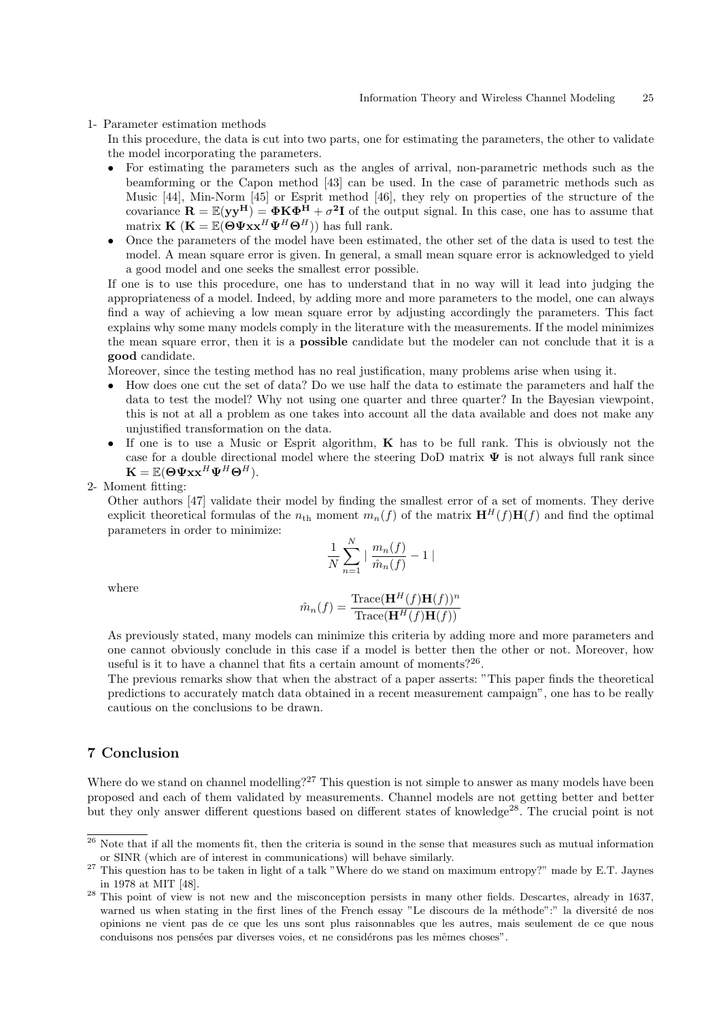#### 1- Parameter estimation methods

In this procedure, the data is cut into two parts, one for estimating the parameters, the other to validate the model incorporating the parameters.

- For estimating the parameters such as the angles of arrival, non-parametric methods such as the beamforming or the Capon method [43] can be used. In the case of parametric methods such as Music [44], Min-Norm [45] or Esprit method [46], they rely on properties of the structure of the covariance  $\mathbf{R} = \mathbb{E}(\mathbf{y}\mathbf{y}^{\mathbf{H}}) = \mathbf{\Phi} \mathbf{K} \mathbf{\Phi}^{\mathbf{H}} + \sigma^2 \mathbf{I}$  of the output signal. In this case, one has to assume that matrix  $\mathbf{K}$  ( $\mathbf{K} = \mathbb{E}(\widetilde{\boldsymbol{\Theta}} \Psi \mathbf{x} \mathbf{x}^H \Psi^H \boldsymbol{\Theta}^H)$ ) has full rank.
- Once the parameters of the model have been estimated, the other set of the data is used to test the model. A mean square error is given. In general, a small mean square error is acknowledged to yield a good model and one seeks the smallest error possible.

If one is to use this procedure, one has to understand that in no way will it lead into judging the appropriateness of a model. Indeed, by adding more and more parameters to the model, one can always find a way of achieving a low mean square error by adjusting accordingly the parameters. This fact explains why some many models comply in the literature with the measurements. If the model minimizes the mean square error, then it is a possible candidate but the modeler can not conclude that it is a good candidate.

Moreover, since the testing method has no real justification, many problems arise when using it.

- How does one cut the set of data? Do we use half the data to estimate the parameters and half the data to test the model? Why not using one quarter and three quarter? In the Bayesian viewpoint, this is not at all a problem as one takes into account all the data available and does not make any unjustified transformation on the data.
- If one is to use a Music or Esprit algorithm,  $\bf{K}$  has to be full rank. This is obviously not the case for a double directional model where the steering DoD matrix  $\Psi$  is not always full rank since  $\mathbf{K} = \mathbb{E}(\boldsymbol{\Theta}\boldsymbol{\Psi} \mathbf{x} \mathbf{x}^H \boldsymbol{\Psi}^H \boldsymbol{\Theta}^H).$

2- Moment fitting:

Other authors [47] validate their model by finding the smallest error of a set of moments. They derive explicit theoretical formulas of the  $n_{\text{th}}$  moment  $m_n(f)$  of the matrix  $\mathbf{H}^H(f)\mathbf{H}(f)$  and find the optimal parameters in order to minimize:

$$
\frac{1}{N}\sum_{n=1}^N\mid\frac{m_n(f)}{\hat{m}_n(f)}-1\mid
$$

where

$$
\hat{m}_n(f) = \frac{\text{Trace}(\mathbf{H}^H(f)\mathbf{H}(f))^n}{\text{Trace}(\mathbf{H}^H(f)\mathbf{H}(f))}
$$

As previously stated, many models can minimize this criteria by adding more and more parameters and one cannot obviously conclude in this case if a model is better then the other or not. Moreover, how useful is it to have a channel that fits a certain amount of moments?<sup>26</sup>.

The previous remarks show that when the abstract of a paper asserts: "This paper finds the theoretical predictions to accurately match data obtained in a recent measurement campaign", one has to be really cautious on the conclusions to be drawn.

## 7 Conclusion

Where do we stand on channel modelling?<sup>27</sup> This question is not simple to answer as many models have been proposed and each of them validated by measurements. Channel models are not getting better and better but they only answer different questions based on different states of knowledge<sup>28</sup>. The crucial point is not

 $\frac{26}{100}$  Note that if all the moments fit, then the criteria is sound in the sense that measures such as mutual information or SINR (which are of interest in communications) will behave similarly.

<sup>&</sup>lt;sup>27</sup> This question has to be taken in light of a talk "Where do we stand on maximum entropy?" made by E.T. Jaynes in 1978 at MIT [48].

 $^{28}$  This point of view is not new and the misconception persists in many other fields. Descartes, already in 1637, warned us when stating in the first lines of the French essay "Le discours de la méthode":" la diversité de nos opinions ne vient pas de ce que les uns sont plus raisonnables que les autres, mais seulement de ce que nous conduisons nos pensées par diverses voies, et ne considérons pas les mêmes choses".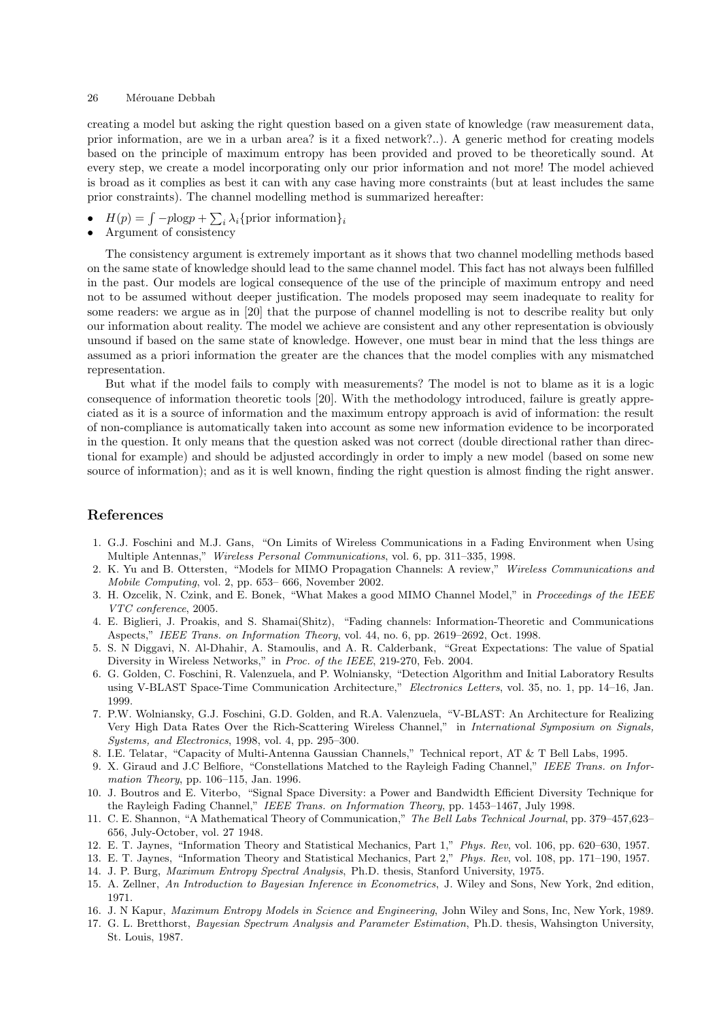creating a model but asking the right question based on a given state of knowledge (raw measurement data, prior information, are we in a urban area? is it a fixed network?..). A generic method for creating models based on the principle of maximum entropy has been provided and proved to be theoretically sound. At every step, we create a model incorporating only our prior information and not more! The model achieved is broad as it complies as best it can with any case having more constraints (but at least includes the same prior constraints). The channel modelling method is summarized hereafter:

- $H(p) = \int -p\log p + \sum$  $i \lambda_i$ {prior information}<sub>i</sub>
- Argument of consistency

The consistency argument is extremely important as it shows that two channel modelling methods based on the same state of knowledge should lead to the same channel model. This fact has not always been fulfilled in the past. Our models are logical consequence of the use of the principle of maximum entropy and need not to be assumed without deeper justification. The models proposed may seem inadequate to reality for some readers: we argue as in [20] that the purpose of channel modelling is not to describe reality but only our information about reality. The model we achieve are consistent and any other representation is obviously unsound if based on the same state of knowledge. However, one must bear in mind that the less things are assumed as a priori information the greater are the chances that the model complies with any mismatched representation.

But what if the model fails to comply with measurements? The model is not to blame as it is a logic consequence of information theoretic tools [20]. With the methodology introduced, failure is greatly appreciated as it is a source of information and the maximum entropy approach is avid of information: the result of non-compliance is automatically taken into account as some new information evidence to be incorporated in the question. It only means that the question asked was not correct (double directional rather than directional for example) and should be adjusted accordingly in order to imply a new model (based on some new source of information); and as it is well known, finding the right question is almost finding the right answer.

## References

- 1. G.J. Foschini and M.J. Gans, "On Limits of Wireless Communications in a Fading Environment when Using Multiple Antennas," Wireless Personal Communications, vol. 6, pp. 311–335, 1998.
- 2. K. Yu and B. Ottersten, "Models for MIMO Propagation Channels: A review," Wireless Communications and Mobile Computing, vol. 2, pp. 653– 666, November 2002.
- 3. H. Ozcelik, N. Czink, and E. Bonek, "What Makes a good MIMO Channel Model," in Proceedings of the IEEE VTC conference, 2005.
- 4. E. Biglieri, J. Proakis, and S. Shamai(Shitz), "Fading channels: Information-Theoretic and Communications Aspects," IEEE Trans. on Information Theory, vol. 44, no. 6, pp. 2619–2692, Oct. 1998.
- 5. S. N Diggavi, N. Al-Dhahir, A. Stamoulis, and A. R. Calderbank, "Great Expectations: The value of Spatial Diversity in Wireless Networks," in Proc. of the IEEE, 219-270, Feb. 2004.
- 6. G. Golden, C. Foschini, R. Valenzuela, and P. Wolniansky, "Detection Algorithm and Initial Laboratory Results using V-BLAST Space-Time Communication Architecture," Electronics Letters, vol. 35, no. 1, pp. 14-16, Jan. 1999.
- 7. P.W. Wolniansky, G.J. Foschini, G.D. Golden, and R.A. Valenzuela, "V-BLAST: An Architecture for Realizing Very High Data Rates Over the Rich-Scattering Wireless Channel," in International Symposium on Signals, Systems, and Electronics, 1998, vol. 4, pp. 295–300.
- 8. I.E. Telatar, "Capacity of Multi-Antenna Gaussian Channels," Technical report, AT & T Bell Labs, 1995.
- 9. X. Giraud and J.C Belfiore, "Constellations Matched to the Rayleigh Fading Channel," IEEE Trans. on Information Theory, pp. 106–115, Jan. 1996.
- 10. J. Boutros and E. Viterbo, "Signal Space Diversity: a Power and Bandwidth Efficient Diversity Technique for the Rayleigh Fading Channel," IEEE Trans. on Information Theory, pp. 1453–1467, July 1998.
- 11. C. E. Shannon, "A Mathematical Theory of Communication," The Bell Labs Technical Journal, pp. 379–457,623– 656, July-October, vol. 27 1948.
- 12. E. T. Jaynes, "Information Theory and Statistical Mechanics, Part 1," Phys. Rev, vol. 106, pp. 620–630, 1957.
- 13. E. T. Jaynes, "Information Theory and Statistical Mechanics, Part 2," Phys. Rev, vol. 108, pp. 171–190, 1957.
- 14. J. P. Burg, Maximum Entropy Spectral Analysis, Ph.D. thesis, Stanford University, 1975.
- 15. A. Zellner, An Introduction to Bayesian Inference in Econometrics, J. Wiley and Sons, New York, 2nd edition, 1971.
- 16. J. N Kapur, Maximum Entropy Models in Science and Engineering, John Wiley and Sons, Inc, New York, 1989.
- 17. G. L. Bretthorst, Bayesian Spectrum Analysis and Parameter Estimation, Ph.D. thesis, Wahsington University, St. Louis, 1987.